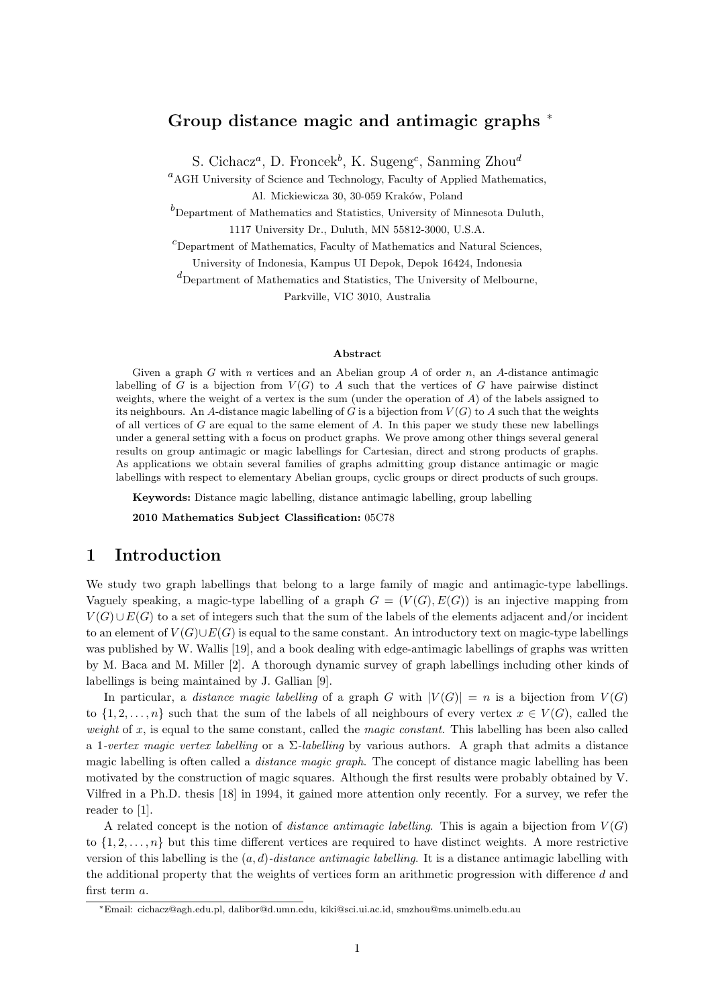# Group distance magic and antimagic graphs <sup>∗</sup>

S. Cichacz<sup>a</sup>, D. Froncek<sup>b</sup>, K. Sugeng<sup>c</sup>, Sanming Zhou<sup>d</sup>

 ${}^{a}\text{AGH}$  University of Science and Technology, Faculty of Applied Mathematics, Al. Mickiewicza 30, 30-059 Kraków, Poland

 $<sup>b</sup>$ Department of Mathematics and Statistics, University of Minnesota Duluth,</sup> 1117 University Dr., Duluth, MN 55812-3000, U.S.A.

 $c<sup>c</sup>$ Department of Mathematics, Faculty of Mathematics and Natural Sciences, University of Indonesia, Kampus UI Depok, Depok 16424, Indonesia

 ${}^d$ Department of Mathematics and Statistics, The University of Melbourne, Parkville, VIC 3010, Australia

#### Abstract

Given a graph G with n vertices and an Abelian group A of order  $n$ , an A-distance antimagic labelling of G is a bijection from  $V(G)$  to A such that the vertices of G have pairwise distinct weights, where the weight of a vertex is the sum (under the operation of A) of the labels assigned to its neighbours. An A-distance magic labelling of G is a bijection from  $V(G)$  to A such that the weights of all vertices of  $G$  are equal to the same element of  $A$ . In this paper we study these new labellings under a general setting with a focus on product graphs. We prove among other things several general results on group antimagic or magic labellings for Cartesian, direct and strong products of graphs. As applications we obtain several families of graphs admitting group distance antimagic or magic labellings with respect to elementary Abelian groups, cyclic groups or direct products of such groups.

Keywords: Distance magic labelling, distance antimagic labelling, group labelling

2010 Mathematics Subject Classification: 05C78

# 1 Introduction

We study two graph labellings that belong to a large family of magic and antimagic-type labellings. Vaguely speaking, a magic-type labelling of a graph  $G = (V(G), E(G))$  is an injective mapping from  $V(G) \cup E(G)$  to a set of integers such that the sum of the labels of the elements adjacent and/or incident to an element of  $V(G) \cup E(G)$  is equal to the same constant. An introductory text on magic-type labellings was published by W. Wallis [19], and a book dealing with edge-antimagic labellings of graphs was written by M. Baca and M. Miller [2]. A thorough dynamic survey of graph labellings including other kinds of labellings is being maintained by J. Gallian [9].

In particular, a *distance magic labelling* of a graph G with  $|V(G)| = n$  is a bijection from  $V(G)$ to  $\{1, 2, \ldots, n\}$  such that the sum of the labels of all neighbours of every vertex  $x \in V(G)$ , called the weight of x, is equal to the same constant, called the *magic constant*. This labelling has been also called a 1-vertex magic vertex labelling or a  $\Sigma$ -labelling by various authors. A graph that admits a distance magic labelling is often called a *distance magic graph*. The concept of distance magic labelling has been motivated by the construction of magic squares. Although the first results were probably obtained by V. Vilfred in a Ph.D. thesis [18] in 1994, it gained more attention only recently. For a survey, we refer the reader to [1].

A related concept is the notion of *distance antimagic labelling*. This is again a bijection from  $V(G)$ to  $\{1, 2, \ldots, n\}$  but this time different vertices are required to have distinct weights. A more restrictive version of this labelling is the  $(a, d)$ -distance antimagic labelling. It is a distance antimagic labelling with the additional property that the weights of vertices form an arithmetic progression with difference d and first term a.

<sup>∗</sup>Email: cichacz@agh.edu.pl, dalibor@d.umn.edu, kiki@sci.ui.ac.id, smzhou@ms.unimelb.edu.au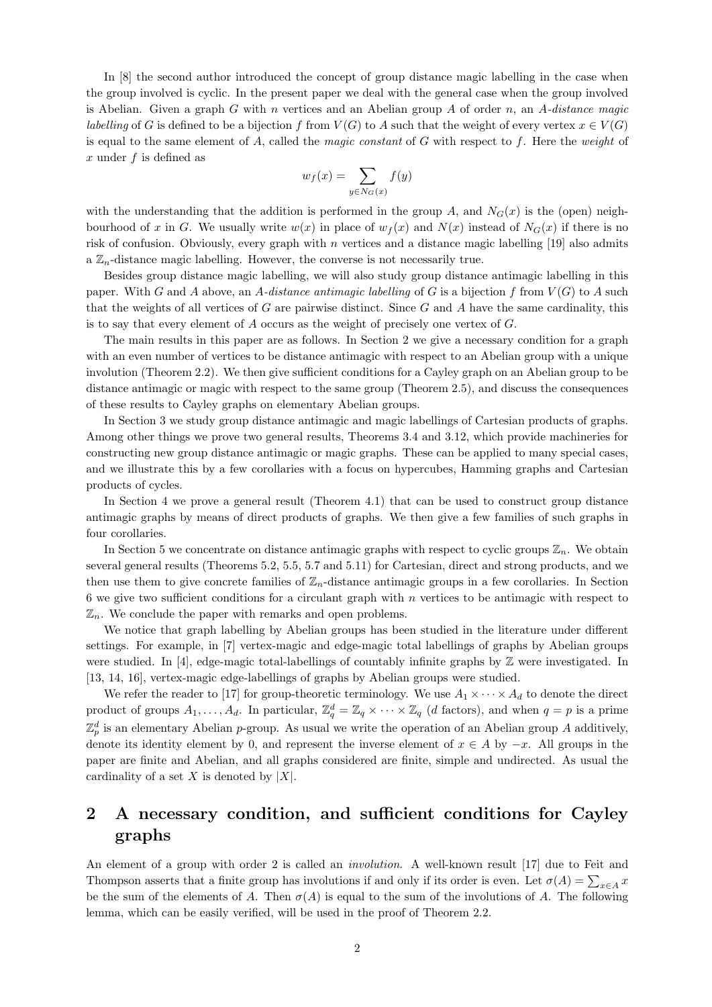In [8] the second author introduced the concept of group distance magic labelling in the case when the group involved is cyclic. In the present paper we deal with the general case when the group involved is Abelian. Given a graph G with n vertices and an Abelian group A of order n, an A-distance magic labelling of G is defined to be a bijection f from  $V(G)$  to A such that the weight of every vertex  $x \in V(G)$ is equal to the same element of  $A$ , called the *magic constant* of  $G$  with respect to  $f$ . Here the weight of x under f is defined as

$$
w_f(x) = \sum_{y \in N_G(x)} f(y)
$$

with the understanding that the addition is performed in the group A, and  $N_G(x)$  is the (open) neighbourhood of x in G. We usually write  $w(x)$  in place of  $w_f(x)$  and  $N(x)$  instead of  $N_G(x)$  if there is no risk of confusion. Obviously, every graph with n vertices and a distance magic labelling  $[19]$  also admits a  $\mathbb{Z}_n$ -distance magic labelling. However, the converse is not necessarily true.

Besides group distance magic labelling, we will also study group distance antimagic labelling in this paper. With G and A above, an A-distance antimagic labelling of G is a bijection f from  $V(G)$  to A such that the weights of all vertices of  $G$  are pairwise distinct. Since  $G$  and  $A$  have the same cardinality, this is to say that every element of  $A$  occurs as the weight of precisely one vertex of  $G$ .

The main results in this paper are as follows. In Section 2 we give a necessary condition for a graph with an even number of vertices to be distance antimagic with respect to an Abelian group with a unique involution (Theorem 2.2). We then give sufficient conditions for a Cayley graph on an Abelian group to be distance antimagic or magic with respect to the same group (Theorem 2.5), and discuss the consequences of these results to Cayley graphs on elementary Abelian groups.

In Section 3 we study group distance antimagic and magic labellings of Cartesian products of graphs. Among other things we prove two general results, Theorems 3.4 and 3.12, which provide machineries for constructing new group distance antimagic or magic graphs. These can be applied to many special cases, and we illustrate this by a few corollaries with a focus on hypercubes, Hamming graphs and Cartesian products of cycles.

In Section 4 we prove a general result (Theorem 4.1) that can be used to construct group distance antimagic graphs by means of direct products of graphs. We then give a few families of such graphs in four corollaries.

In Section 5 we concentrate on distance antimagic graphs with respect to cyclic groups  $\mathbb{Z}_n$ . We obtain several general results (Theorems 5.2, 5.5, 5.7 and 5.11) for Cartesian, direct and strong products, and we then use them to give concrete families of  $\mathbb{Z}_n$ -distance antimagic groups in a few corollaries. In Section 6 we give two sufficient conditions for a circulant graph with  $n$  vertices to be antimagic with respect to  $\mathbb{Z}_n$ . We conclude the paper with remarks and open problems.

We notice that graph labelling by Abelian groups has been studied in the literature under different settings. For example, in [7] vertex-magic and edge-magic total labellings of graphs by Abelian groups were studied. In [4], edge-magic total-labellings of countably infinite graphs by  $\mathbb Z$  were investigated. In [13, 14, 16], vertex-magic edge-labellings of graphs by Abelian groups were studied.

We refer the reader to [17] for group-theoretic terminology. We use  $A_1 \times \cdots \times A_d$  to denote the direct product of groups  $A_1, \ldots, A_d$ . In particular,  $\mathbb{Z}_q^d = \mathbb{Z}_q \times \cdots \times \mathbb{Z}_q$  (d factors), and when  $q = p$  is a prime  $\mathbb{Z}_p^d$  is an elementary Abelian p-group. As usual we write the operation of an Abelian group A additively, denote its identity element by 0, and represent the inverse element of  $x \in A$  by  $-x$ . All groups in the paper are finite and Abelian, and all graphs considered are finite, simple and undirected. As usual the cardinality of a set X is denoted by  $|X|$ .

# 2 A necessary condition, and sufficient conditions for Cayley graphs

An element of a group with order 2 is called an involution. A well-known result [17] due to Feit and Thompson asserts that a finite group has involutions if and only if its order is even. Let  $\sigma(A) = \sum_{x \in A} x$ be the sum of the elements of A. Then  $\sigma(A)$  is equal to the sum of the involutions of A. The following lemma, which can be easily verified, will be used in the proof of Theorem 2.2.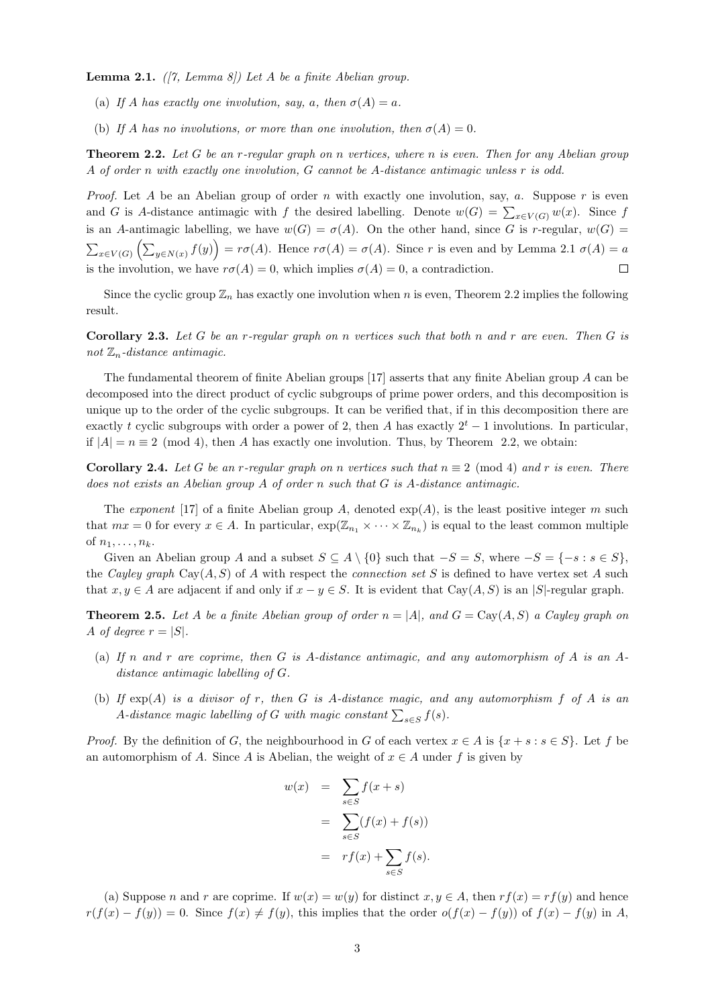**Lemma 2.1.** ([7, Lemma 8]) Let A be a finite Abelian group.

- (a) If A has exactly one involution, say, a, then  $\sigma(A) = a$ .
- (b) If A has no involutions, or more than one involution, then  $\sigma(A) = 0$ .

**Theorem 2.2.** Let G be an r-regular graph on n vertices, where n is even. Then for any Abelian group A of order n with exactly one involution, G cannot be A-distance antimagic unless r is odd.

*Proof.* Let A be an Abelian group of order n with exactly one involution, say, a. Suppose r is even and G is A-distance antimagic with f the desired labelling. Denote  $w(G) = \sum_{x \in V(G)} w(x)$ . Since f is an A-antimagic labelling, we have  $w(G) = \sigma(A)$ . On the other hand, since G is r-regular,  $w(G)$  =  $\sum_{x \in V(G)} (\sum_{y \in N(x)} f(y)) = r \sigma(A)$ . Hence  $r \sigma(A) = \sigma(A)$ . Since r is even and by Lemma 2.1  $\sigma(A) = a$ is the involution, we have  $r\sigma(A) = 0$ , which implies  $\sigma(A) = 0$ , a contradiction.  $\Box$ 

Since the cyclic group  $\mathbb{Z}_n$  has exactly one involution when n is even, Theorem 2.2 implies the following result.

**Corollary 2.3.** Let G be an r-regular graph on n vertices such that both n and r are even. Then G is not  $\mathbb{Z}_n$ -distance antimagic.

The fundamental theorem of finite Abelian groups [17] asserts that any finite Abelian group A can be decomposed into the direct product of cyclic subgroups of prime power orders, and this decomposition is unique up to the order of the cyclic subgroups. It can be verified that, if in this decomposition there are exactly t cyclic subgroups with order a power of 2, then A has exactly  $2^t - 1$  involutions. In particular, if  $|A| = n \equiv 2 \pmod{4}$ , then A has exactly one involution. Thus, by Theorem 2.2, we obtain:

**Corollary 2.4.** Let G be an r-regular graph on n vertices such that  $n \equiv 2 \pmod{4}$  and r is even. There does not exists an Abelian group A of order n such that G is A-distance antimagic.

The exponent [17] of a finite Abelian group A, denoted  $\exp(A)$ , is the least positive integer m such that  $mx = 0$  for every  $x \in A$ . In particular,  $\exp(\mathbb{Z}_{n_1} \times \cdots \times \mathbb{Z}_{n_k})$  is equal to the least common multiple of  $n_1, \ldots, n_k$ .

Given an Abelian group A and a subset  $S \subseteq A \setminus \{0\}$  such that  $-S = S$ , where  $-S = \{-s : s \in S\}$ , the Cayley graph  $Cav(A, S)$  of A with respect the connection set S is defined to have vertex set A such that  $x, y \in A$  are adjacent if and only if  $x - y \in S$ . It is evident that Cay(A, S) is an |S|-regular graph.

**Theorem 2.5.** Let A be a finite Abelian group of order  $n = |A|$ , and  $G = Cay(A, S)$  a Cayley graph on A of degree  $r = |S|$ .

- (a) If n and r are coprime, then G is A-distance antimagic, and any automorphism of A is an Adistance antimagic labelling of G.
- (b) If  $exp(A)$  is a divisor of r, then G is A-distance magic, and any automorphism f of A is an A-distance magic labelling of G with magic constant  $\sum_{s \in S} f(s)$ .

*Proof.* By the definition of G, the neighbourhood in G of each vertex  $x \in A$  is  $\{x + s : s \in S\}$ . Let f be an automorphism of A. Since A is Abelian, the weight of  $x \in A$  under f is given by

$$
w(x) = \sum_{s \in S} f(x+s)
$$
  
= 
$$
\sum_{s \in S} (f(x) + f(s))
$$
  
= 
$$
rf(x) + \sum_{s \in S} f(s).
$$

(a) Suppose n and r are coprime. If  $w(x) = w(y)$  for distinct  $x, y \in A$ , then  $rf(x) = rf(y)$  and hence  $r(f(x) - f(y)) = 0$ . Since  $f(x) \neq f(y)$ , this implies that the order  $o(f(x) - f(y))$  of  $f(x) - f(y)$  in A,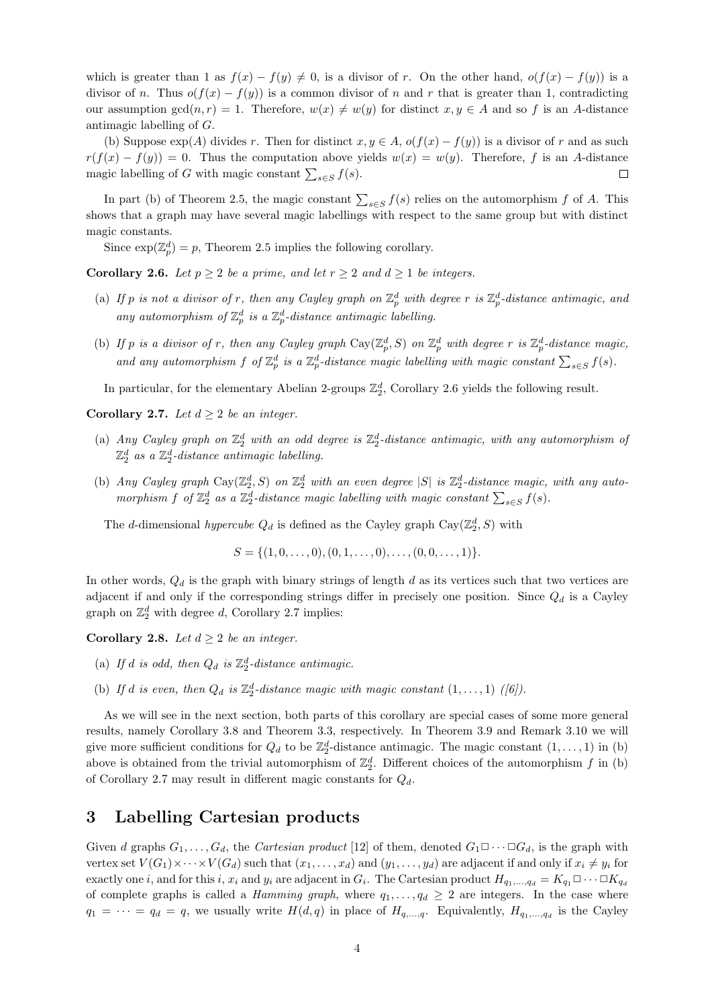which is greater than 1 as  $f(x) - f(y) \neq 0$ , is a divisor of r. On the other hand,  $o(f(x) - f(y))$  is a divisor of n. Thus  $o(f(x) - f(y))$  is a common divisor of n and r that is greater than 1, contradicting our assumption  $gcd(n, r) = 1$ . Therefore,  $w(x) \neq w(y)$  for distinct  $x, y \in A$  and so f is an A-distance antimagic labelling of G.

(b) Suppose  $\exp(A)$  divides r. Then for distinct  $x, y \in A$ ,  $o(f(x) - f(y))$  is a divisor of r and as such  $r(f(x) - f(y)) = 0$ . Thus the computation above yields  $w(x) = w(y)$ . Therefore, f is an A-distance magic labelling of G with magic constant  $\sum_{s \in S} f(s)$ . П

In part (b) of Theorem 2.5, the magic constant  $\sum_{s\in S} f(s)$  relies on the automorphism f of A. This shows that a graph may have several magic labellings with respect to the same group but with distinct magic constants.

Since  $\exp(\mathbb{Z}_p^d) = p$ , Theorem 2.5 implies the following corollary.

Corollary 2.6. Let  $p \geq 2$  be a prime, and let  $r \geq 2$  and  $d \geq 1$  be integers.

- (a) If p is not a divisor of r, then any Cayley graph on  $\mathbb{Z}_p^d$  with degree r is  $\mathbb{Z}_p^d$ -distance antimagic, and any automorphism of  $\mathbb{Z}_p^d$  is a  $\mathbb{Z}_p^d$ -distance antimagic labelling.
- (b) If p is a divisor of r, then any Cayley graph  $\text{Cay}(\mathbb{Z}_p^d, S)$  on  $\mathbb{Z}_p^d$  with degree r is  $\mathbb{Z}_p^d$ -distance magic, and any automorphism f of  $\mathbb{Z}_p^d$  is a  $\mathbb{Z}_p^d$ -distance magic labelling with magic constant  $\sum_{s\in S} f(s)$ .

In particular, for the elementary Abelian 2-groups  $\mathbb{Z}_2^d$ , Corollary 2.6 yields the following result.

Corollary 2.7. Let  $d \geq 2$  be an integer.

- (a) Any Cayley graph on  $\mathbb{Z}_2^d$  with an odd degree is  $\mathbb{Z}_2^d$ -distance antimagic, with any automorphism of  $\mathbb{Z}_2^d$  as a  $\mathbb{Z}_2^d$ -distance antimagic labelling.
- (b) Any Cayley graph Cay( $\mathbb{Z}_2^d$ , S) on  $\mathbb{Z}_2^d$  with an even degree |S| is  $\mathbb{Z}_2^d$ -distance magic, with any automorphism f of  $\mathbb{Z}_2^d$  as a  $\mathbb{Z}_2^d$ -distance magic labelling with magic constant  $\sum_{s\in S} f(s)$ .

The d-dimensional hypercube  $Q_d$  is defined as the Cayley graph  $\text{Cay}(\mathbb{Z}_2^d, S)$  with

$$
S = \{(1,0,\ldots,0), (0,1,\ldots,0), \ldots, (0,0,\ldots,1)\}.
$$

In other words,  $Q_d$  is the graph with binary strings of length d as its vertices such that two vertices are adjacent if and only if the corresponding strings differ in precisely one position. Since  $Q_d$  is a Cayley graph on  $\mathbb{Z}_2^d$  with degree d, Corollary 2.7 implies:

Corollary 2.8. Let  $d \geq 2$  be an integer.

- (a) If d is odd, then  $Q_d$  is  $\mathbb{Z}_2^d$ -distance antimagic.
- (b) If d is even, then  $Q_d$  is  $\mathbb{Z}_2^d$ -distance magic with magic constant  $(1,\ldots,1)$  ([6]).

As we will see in the next section, both parts of this corollary are special cases of some more general results, namely Corollary 3.8 and Theorem 3.3, respectively. In Theorem 3.9 and Remark 3.10 we will give more sufficient conditions for  $Q_d$  to be  $\mathbb{Z}_2^d$ -distance antimagic. The magic constant  $(1,\ldots,1)$  in (b) above is obtained from the trivial automorphism of  $\mathbb{Z}_2^d$ . Different choices of the automorphism f in (b) of Corollary 2.7 may result in different magic constants for  $Q_d$ .

# 3 Labelling Cartesian products

Given d graphs  $G_1, \ldots, G_d$ , the Cartesian product [12] of them, denoted  $G_1 \square \cdots \square G_d$ , is the graph with vertex set  $V(G_1)\times \cdots \times V(G_d)$  such that  $(x_1,\ldots,x_d)$  and  $(y_1,\ldots,y_d)$  are adjacent if and only if  $x_i\neq y_i$  for exactly one i, and for this i,  $x_i$  and  $y_i$  are adjacent in  $G_i$ . The Cartesian product  $H_{q_1,...,q_d} = K_{q_1} \Box \cdots \Box K_{q_d}$ of complete graphs is called a *Hamming graph*, where  $q_1, \ldots, q_d \geq 2$  are integers. In the case where  $q_1 = \cdots = q_d = q$ , we usually write  $H(d,q)$  in place of  $H_{q,\ldots,q}$ . Equivalently,  $H_{q_1,\ldots,q_d}$  is the Cayley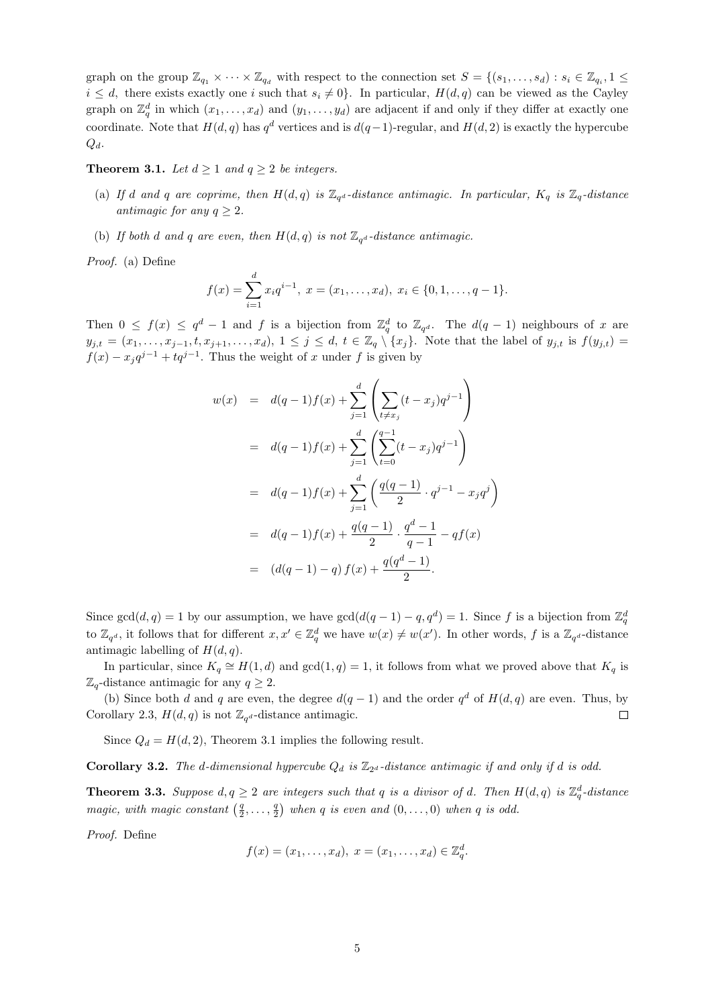graph on the group  $\mathbb{Z}_{q_1} \times \cdots \times \mathbb{Z}_{q_d}$  with respect to the connection set  $S = \{(s_1, \ldots, s_d) : s_i \in \mathbb{Z}_{q_i}, 1 \leq j \leq d_i\}$  $i \leq d$ , there exists exactly one i such that  $s_i \neq 0$ . In particular,  $H(d, q)$  can be viewed as the Cayley graph on  $\mathbb{Z}_q^d$  in which  $(x_1, \ldots, x_d)$  and  $(y_1, \ldots, y_d)$  are adjacent if and only if they differ at exactly one coordinate. Note that  $H(d, q)$  has  $q^d$  vertices and is  $d(q-1)$ -regular, and  $H(d, 2)$  is exactly the hypercube  $Q_d$ .

**Theorem 3.1.** Let  $d \geq 1$  and  $q \geq 2$  be integers.

- (a) If d and q are coprime, then  $H(d,q)$  is  $\mathbb{Z}_{q^d}$ -distance antimagic. In particular,  $K_q$  is  $\mathbb{Z}_q$ -distance antimagic for any  $q \geq 2$ .
- (b) If both d and q are even, then  $H(d,q)$  is not  $\mathbb{Z}_{q^d}$ -distance antimagic.

Proof. (a) Define

$$
f(x) = \sum_{i=1}^{d} x_i q^{i-1}, \ x = (x_1, \dots, x_d), \ x_i \in \{0, 1, \dots, q-1\}.
$$

Then  $0 \leq f(x) \leq q^d - 1$  and f is a bijection from  $\mathbb{Z}_q^d$  to  $\mathbb{Z}_{q^d}$ . The  $d(q-1)$  neighbours of x are  $y_{j,t} = (x_1, \ldots, x_{j-1}, t, x_{j+1}, \ldots, x_d), 1 \leq j \leq d, t \in \mathbb{Z}_q \setminus \{x_j\}.$  Note that the label of  $y_{j,t}$  is  $f(y_{j,t}) =$  $f(x) - x_j q^{j-1} + t q^{j-1}$ . Thus the weight of x under f is given by

$$
w(x) = d(q - 1) f(x) + \sum_{j=1}^{d} \left( \sum_{t \neq x_j} (t - x_j) q^{j-1} \right)
$$
  
\n
$$
= d(q - 1) f(x) + \sum_{j=1}^{d} \left( \sum_{t=0}^{q-1} (t - x_j) q^{j-1} \right)
$$
  
\n
$$
= d(q - 1) f(x) + \sum_{j=1}^{d} \left( \frac{q(q - 1)}{2} \cdot q^{j-1} - x_j q^j \right)
$$
  
\n
$$
= d(q - 1) f(x) + \frac{q(q - 1)}{2} \cdot \frac{q^d - 1}{q - 1} - q f(x)
$$
  
\n
$$
= (d(q - 1) - q) f(x) + \frac{q(q^d - 1)}{2}.
$$

Since  $gcd(d, q) = 1$  by our assumption, we have  $gcd(d(q - 1) - q, q^d) = 1$ . Since f is a bijection from  $\mathbb{Z}_q^d$ to  $\mathbb{Z}_{q^d}$ , it follows that for different  $x, x' \in \mathbb{Z}_q^d$  we have  $w(x) \neq w(x')$ . In other words, f is a  $\mathbb{Z}_{q^d}$ -distance antimagic labelling of  $H(d, q)$ .

In particular, since  $K_q \cong H(1,d)$  and  $gcd(1,q) = 1$ , it follows from what we proved above that  $K_q$  is  $\mathbb{Z}_q$ -distance antimagic for any  $q \geq 2$ .

(b) Since both d and q are even, the degree  $d(q-1)$  and the order  $q^d$  of  $H(d,q)$  are even. Thus, by Corollary 2.3,  $H(d, q)$  is not  $\mathbb{Z}_{q^d}$ -distance antimagic.  $\Box$ 

Since  $Q_d = H(d, 2)$ , Theorem 3.1 implies the following result.

**Corollary 3.2.** The d-dimensional hypercube  $Q_d$  is  $\mathbb{Z}_{2^d}$ -distance antimagic if and only if d is odd.

**Theorem 3.3.** Suppose  $d, q \geq 2$  are integers such that q is a divisor of d. Then  $H(d,q)$  is  $\mathbb{Z}_q^d$ -distance magic, with magic constant  $(\frac{q}{2}, \ldots, \frac{q}{2})$  when q is even and  $(0, \ldots, 0)$  when q is odd.

Proof. Define

$$
f(x) = (x_1, \ldots, x_d), \ x = (x_1, \ldots, x_d) \in \mathbb{Z}_q^d.
$$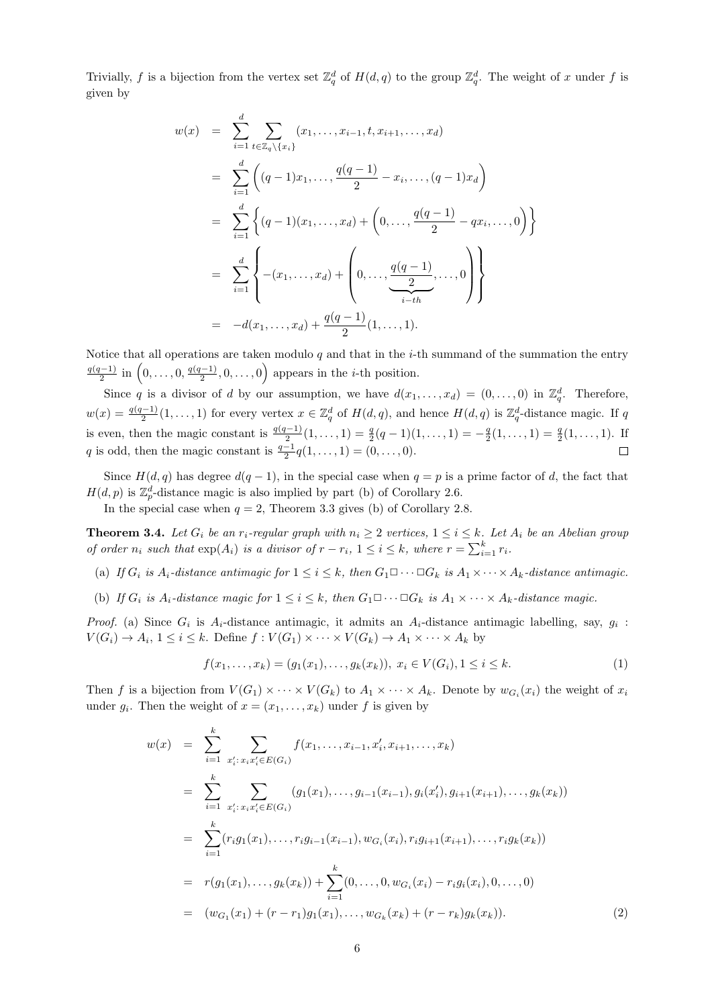Trivially, f is a bijection from the vertex set  $\mathbb{Z}_q^d$  of  $H(d,q)$  to the group  $\mathbb{Z}_q^d$ . The weight of x under f is given by

$$
w(x) = \sum_{i=1}^{d} \sum_{t \in \mathbb{Z}_q \setminus \{x_i\}} (x_1, \dots, x_{i-1}, t, x_{i+1}, \dots, x_d)
$$
  
\n
$$
= \sum_{i=1}^{d} \left( (q-1)x_1, \dots, \frac{q(q-1)}{2} - x_i, \dots, (q-1)x_d \right)
$$
  
\n
$$
= \sum_{i=1}^{d} \left\{ (q-1)(x_1, \dots, x_d) + \left( 0, \dots, \frac{q(q-1)}{2} - qx_i, \dots, 0 \right) \right\}
$$
  
\n
$$
= \sum_{i=1}^{d} \left\{ -(x_1, \dots, x_d) + \left( 0, \dots, \frac{q(q-1)}{2}, \dots, 0 \right) \right\}
$$
  
\n
$$
= -d(x_1, \dots, x_d) + \frac{q(q-1)}{2} (1, \dots, 1).
$$

Notice that all operations are taken modulo q and that in the i-th summand of the summation the entry  $q(q-1)$  $\frac{q(-1)}{2}$  in  $\left(0,\ldots,0,\frac{q(q-1)}{2}\right)$  $\left(\frac{i-1}{2},0,\ldots,0\right)$  appears in the *i*-th position.

Since q is a divisor of d by our assumption, we have  $d(x_1, \ldots, x_d) = (0, \ldots, 0)$  in  $\mathbb{Z}_q^d$ . Therefore,  $w(x) = \frac{q(q-1)}{2}(1,\ldots,1)$  for every vertex  $x \in \mathbb{Z}_q^d$  of  $H(d,q)$ , and hence  $H(d,q)$  is  $\mathbb{Z}_q^d$ -distance magic. If q is even, then the magic constant is  $\frac{q(q-1)}{2}(1,\ldots,1) = \frac{q}{2}(q-1)(1,\ldots,1) = -\frac{q}{2}(1,\ldots,1) = \frac{q}{2}(1,\ldots,1)$ . If q is odd, then the magic constant is  $\frac{q-1}{2}q(1,\ldots,1)=(0,\ldots,0).$  $\Box$ 

Since  $H(d, q)$  has degree  $d(q - 1)$ , in the special case when  $q = p$  is a prime factor of d, the fact that  $H(d, p)$  is  $\mathbb{Z}_p^d$ -distance magic is also implied by part (b) of Corollary 2.6.

In the special case when  $q = 2$ , Theorem 3.3 gives (b) of Corollary 2.8.

**Theorem 3.4.** Let  $G_i$  be an  $r_i$ -regular graph with  $n_i \geq 2$  vertices,  $1 \leq i \leq k$ . Let  $A_i$  be an Abelian group of order  $n_i$  such that  $\exp(A_i)$  is a divisor of  $r - r_i$ ,  $1 \le i \le k$ , where  $r = \sum_{i=1}^k r_i$ .

- (a) If  $G_i$  is  $A_i$ -distance antimagic for  $1 \leq i \leq k$ , then  $G_1 \square \cdots \square G_k$  is  $A_1 \times \cdots \times A_k$ -distance antimagic.
- (b) If  $G_i$  is  $A_i$ -distance magic for  $1 \leq i \leq k$ , then  $G_1 \square \cdots \square G_k$  is  $A_1 \times \cdots \times A_k$ -distance magic.

*Proof.* (a) Since  $G_i$  is  $A_i$ -distance antimagic, it admits an  $A_i$ -distance antimagic labelling, say,  $g_i$ :  $V(G_i) \to A_i$ ,  $1 \leq i \leq k$ . Define  $f: V(G_1) \times \cdots \times V(G_k) \to A_1 \times \cdots \times A_k$  by

$$
f(x_1, \ldots, x_k) = (g_1(x_1), \ldots, g_k(x_k)), \ x_i \in V(G_i), 1 \le i \le k. \tag{1}
$$

Then f is a bijection from  $V(G_1) \times \cdots \times V(G_k)$  to  $A_1 \times \cdots \times A_k$ . Denote by  $w_{G_i}(x_i)$  the weight of  $x_i$ under  $g_i$ . Then the weight of  $x = (x_1, \ldots, x_k)$  under f is given by

$$
w(x) = \sum_{i=1}^{k} \sum_{x'_i: x_i x'_i \in E(G_i)} f(x_1, \dots, x_{i-1}, x'_i, x_{i+1}, \dots, x_k)
$$
  
\n
$$
= \sum_{i=1}^{k} \sum_{x'_i: x_i x'_i \in E(G_i)} (g_1(x_1), \dots, g_{i-1}(x_{i-1}), g_i(x'_i), g_{i+1}(x_{i+1}), \dots, g_k(x_k))
$$
  
\n
$$
= \sum_{i=1}^{k} (r_i g_1(x_1), \dots, r_i g_{i-1}(x_{i-1}), w_{G_i}(x_i), r_i g_{i+1}(x_{i+1}), \dots, r_i g_k(x_k))
$$
  
\n
$$
= r(g_1(x_1), \dots, g_k(x_k)) + \sum_{i=1}^{k} (0, \dots, 0, w_{G_i}(x_i) - r_i g_i(x_i), 0, \dots, 0)
$$
  
\n
$$
= (w_{G_1}(x_1) + (r - r_1)g_1(x_1), \dots, w_{G_k}(x_k) + (r - r_k)g_k(x_k)). \tag{2}
$$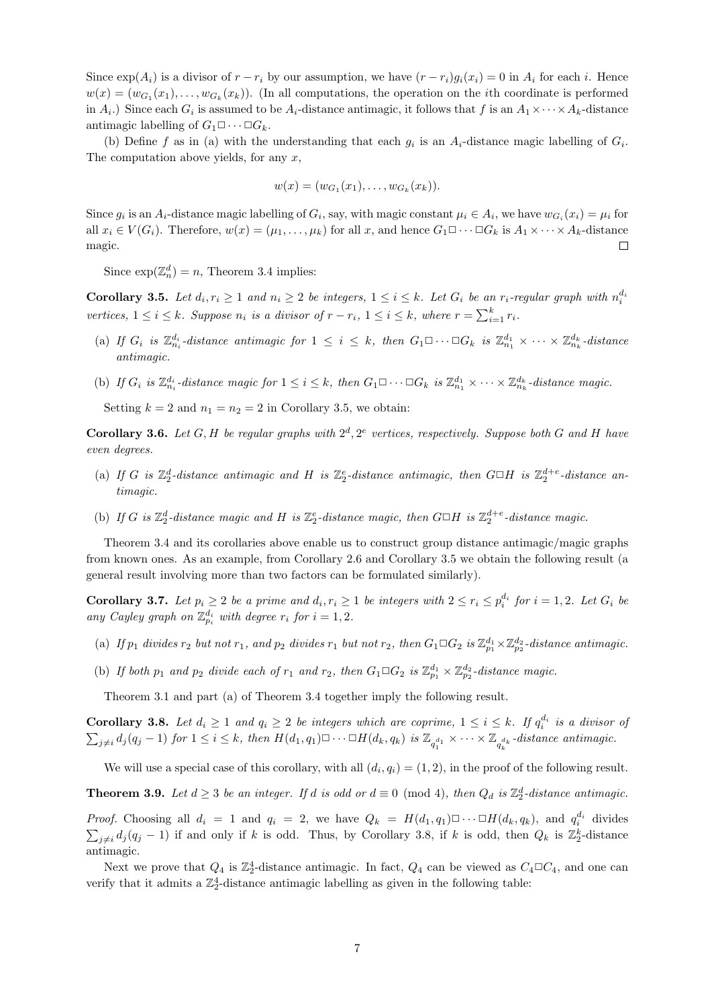Since  $\exp(A_i)$  is a divisor of  $r - r_i$  by our assumption, we have  $(r - r_i)g_i(x_i) = 0$  in  $A_i$  for each i. Hence  $w(x) = (w_{G_1}(x_1), \ldots, w_{G_k}(x_k)).$  (In all computations, the operation on the *i*th coordinate is performed in  $A_i$ .) Since each  $G_i$  is assumed to be  $A_i$ -distance antimagic, it follows that f is an  $A_1 \times \cdots \times A_k$ -distance antimagic labelling of  $G_1 \square \cdots \square G_k$ .

(b) Define f as in (a) with the understanding that each  $g_i$  is an  $A_i$ -distance magic labelling of  $G_i$ . The computation above yields, for any  $x$ ,

$$
w(x) = (w_{G_1}(x_1), \ldots, w_{G_k}(x_k)).
$$

Since  $g_i$  is an  $A_i$ -distance magic labelling of  $G_i$ , say, with magic constant  $\mu_i \in A_i$ , we have  $w_{G_i}(x_i) = \mu_i$  for all  $x_i \in V(G_i)$ . Therefore,  $w(x) = (\mu_1, \ldots, \mu_k)$  for all x, and hence  $G_1 \square \cdots \square G_k$  is  $A_1 \times \cdots \times A_k$ -distance magic.  $\Box$ 

Since  $\exp(\mathbb{Z}_n^d) = n$ , Theorem 3.4 implies:

**Corollary 3.5.** Let  $d_i, r_i \geq 1$  and  $n_i \geq 2$  be integers,  $1 \leq i \leq k$ . Let  $G_i$  be an  $r_i$ -regular graph with  $n_i^{d_i}$ vertices,  $1 \leq i \leq k$ . Suppose  $n_i$  is a divisor of  $r - r_i$ ,  $1 \leq i \leq k$ , where  $r = \sum_{i=1}^{k} r_i$ .

- (a) If  $G_i$  is  $\mathbb{Z}_{n_i}^{d_i}$ -distance antimagic for  $1 \leq i \leq k$ , then  $G_1 \square \cdots \square G_k$  is  $\mathbb{Z}_{n_1}^{d_1} \times \cdots \times \mathbb{Z}_{n_k}^{d_k}$ -distance antimagic.
- (b) If  $G_i$  is  $\mathbb{Z}_{n_i}^{d_i}$ -distance magic for  $1 \leq i \leq k$ , then  $G_1 \square \cdots \square G_k$  is  $\mathbb{Z}_{n_1}^{d_1} \times \cdots \times \mathbb{Z}_{n_k}^{d_k}$ -distance magic.

Setting  $k = 2$  and  $n_1 = n_2 = 2$  in Corollary 3.5, we obtain:

**Corollary 3.6.** Let G, H be regular graphs with  $2^d$ ,  $2^e$  vertices, respectively. Suppose both G and H have even degrees.

- (a) If G is  $\mathbb{Z}_2^d$ -distance antimagic and H is  $\mathbb{Z}_2^e$ -distance antimagic, then  $G \Box H$  is  $\mathbb{Z}_2^{d+e}$ -distance antimagic.
- (b) If G is  $\mathbb{Z}_2^d$ -distance magic and H is  $\mathbb{Z}_2^e$ -distance magic, then  $G \Box H$  is  $\mathbb{Z}_2^{d+e}$ -distance magic.

Theorem 3.4 and its corollaries above enable us to construct group distance antimagic/magic graphs from known ones. As an example, from Corollary 2.6 and Corollary 3.5 we obtain the following result (a general result involving more than two factors can be formulated similarly).

**Corollary 3.7.** Let  $p_i \geq 2$  be a prime and  $d_i, r_i \geq 1$  be integers with  $2 \leq r_i \leq p_i^{d_i}$  for  $i = 1, 2$ . Let  $G_i$  be any Cayley graph on  $\mathbb{Z}_{p_i}^{d_i}$  with degree  $r_i$  for  $i = 1, 2$ .

- (a) If  $p_1$  divides  $r_2$  but not  $r_1$ , and  $p_2$  divides  $r_1$  but not  $r_2$ , then  $G_1 \Box G_2$  is  $\mathbb{Z}_{p_1}^{d_1} \times \mathbb{Z}_{p_2}^{d_2}$ -distance antimagic.
- (b) If both  $p_1$  and  $p_2$  divide each of  $r_1$  and  $r_2$ , then  $G_1 \square G_2$  is  $\mathbb{Z}_{p_1}^{d_1} \times \mathbb{Z}_{p_2}^{d_2}$ -distance magic.

Theorem 3.1 and part (a) of Theorem 3.4 together imply the following result.

**Corollary 3.8.** Let  $d_i \geq 1$  and  $q_i \geq 2$  be integers which are coprime,  $1 \leq i \leq k$ . If  $q_i^{d_i}$  is a divisor of  $\sum_{j\neq i} d_j(q_j-1)$  for  $1 \leq i \leq k$ , then  $H(d_1,q_1) \square \cdots \square H(d_k,q_k)$  is  $\mathbb{Z}_{q_1^{d_1}} \times \cdots \times \mathbb{Z}_{q_k^{d_k}}$ -distance antimagic.

We will use a special case of this corollary, with all  $(d_i, q_i) = (1, 2)$ , in the proof of the following result.

**Theorem 3.9.** Let  $d \geq 3$  be an integer. If d is odd or  $d \equiv 0 \pmod{4}$ , then  $Q_d$  is  $\mathbb{Z}_2^d$ -distance antimagic.

*Proof.* Choosing all  $d_i = 1$  and  $q_i = 2$ , we have  $Q_k = H(d_1, q_1) \square \cdots \square H(d_k, q_k)$ , and  $q_i^{d_i}$  divides  $\sum_{j\neq i} d_j(q_j-1)$  if and only if k is odd. Thus, by Corollary 3.8, if k is odd, then  $Q_k$  is  $\mathbb{Z}_2^k$ -distance antimagic.

Next we prove that  $Q_4$  is  $\mathbb{Z}_2^4$ -distance antimagic. In fact,  $Q_4$  can be viewed as  $C_4 \square C_4$ , and one can verify that it admits a  $\mathbb{Z}_2^4$ -distance antimagic labelling as given in the following table: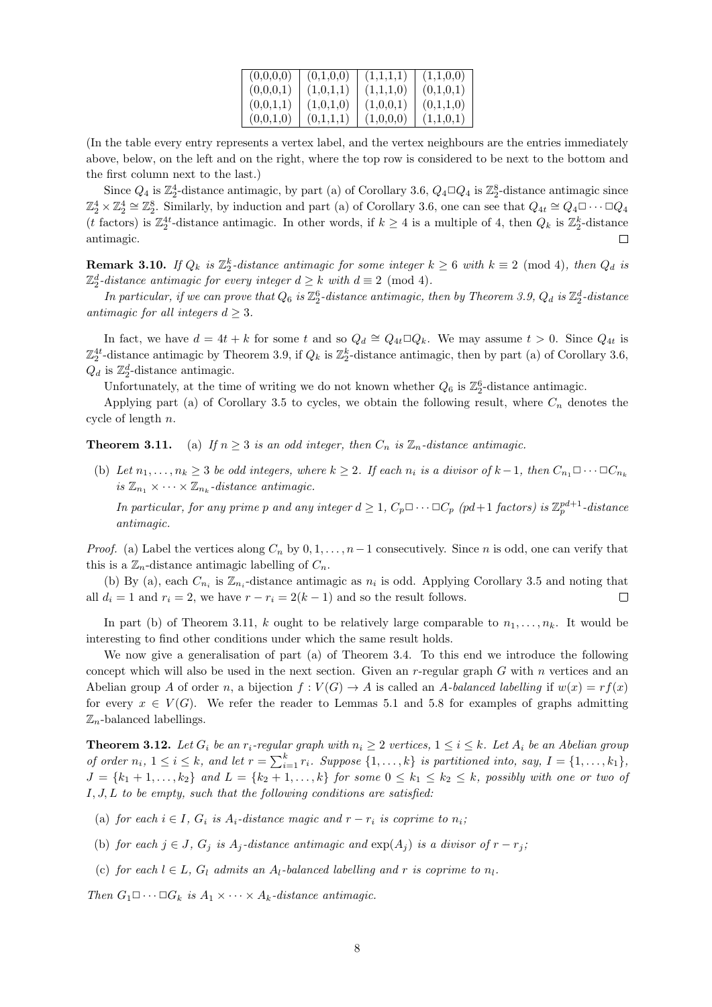| (0,0,0,0) | (0,1,0,0) | (1,1,1,1) | (1,1,0,0) |
|-----------|-----------|-----------|-----------|
| (0,0,0,1) | (1,0,1,1) | (1,1,1,0) | (0,1,0,1) |
| (0,0,1,1) | (1,0,1,0) | (1,0,0,1) | (0,1,1,0) |
| (0,0,1,0) | (0,1,1,1) | (1,0,0,0) | (1,1,0,1) |

(In the table every entry represents a vertex label, and the vertex neighbours are the entries immediately above, below, on the left and on the right, where the top row is considered to be next to the bottom and the first column next to the last.)

Since  $Q_4$  is  $\mathbb{Z}_2^4$ -distance antimagic, by part (a) of Corollary 3.6,  $Q_4 \square Q_4$  is  $\mathbb{Z}_2^8$ -distance antimagic since  $\mathbb{Z}_2^4 \times \mathbb{Z}_2^4 \cong \mathbb{Z}_2^8$ . Similarly, by induction and part (a) of Corollary 3.6, one can see that  $Q_{4t} \cong Q_4 \square \cdots \square Q_4$ (t factors) is  $\mathbb{Z}_2^{4t}$ -distance antimagic. In other words, if  $k \geq 4$  is a multiple of 4, then  $Q_k$  is  $\mathbb{Z}_2^k$ -distance antimagic. П

**Remark 3.10.** If  $Q_k$  is  $\mathbb{Z}_2^k$ -distance antimagic for some integer  $k \geq 6$  with  $k \equiv 2 \pmod{4}$ , then  $Q_d$  is  $\mathbb{Z}_2^d$ -distance antimagic for every integer  $d \geq k$  with  $d \equiv 2 \pmod{4}$ .

In particular, if we can prove that  $Q_6$  is  $\mathbb{Z}_2^6$ -distance antimagic, then by Theorem 3.9,  $Q_d$  is  $\mathbb{Z}_2^d$ -distance antimagic for all integers  $d > 3$ .

In fact, we have  $d = 4t + k$  for some t and so  $Q_d \cong Q_{4t} \square Q_k$ . We may assume  $t > 0$ . Since  $Q_{4t}$  is  $\mathbb{Z}_2^{4t}$ -distance antimagic by Theorem 3.9, if  $Q_k$  is  $\mathbb{Z}_2^k$ -distance antimagic, then by part (a) of Corollary 3.6,  $Q_d$  is  $\mathbb{Z}_2^d$ -distance antimagic.

Unfortunately, at the time of writing we do not known whether  $Q_6$  is  $\mathbb{Z}_2^6$ -distance antimagic.

Applying part (a) of Corollary 3.5 to cycles, we obtain the following result, where  $C_n$  denotes the cycle of length n.

**Theorem 3.11.** (a) If  $n \geq 3$  is an odd integer, then  $C_n$  is  $\mathbb{Z}_n$ -distance antimagic.

(b) Let  $n_1, \ldots, n_k \geq 3$  be odd integers, where  $k \geq 2$ . If each  $n_i$  is a divisor of  $k-1$ , then  $C_{n_1} \square \cdots \square C_{n_k}$ is  $\mathbb{Z}_{n_1} \times \cdots \times \mathbb{Z}_{n_k}$ -distance antimagic.

In particular, for any prime p and any integer  $d \geq 1$ ,  $C_p \Box \cdots \Box C_p$  (pd+1 factors) is  $\mathbb{Z}_p^{pd+1}$ -distance antimagic.

*Proof.* (a) Label the vertices along  $C_n$  by  $0, 1, \ldots, n-1$  consecutively. Since n is odd, one can verify that this is a  $\mathbb{Z}_n$ -distance antimagic labelling of  $C_n$ .

(b) By (a), each  $C_{n_i}$  is  $\mathbb{Z}_{n_i}$ -distance antimagic as  $n_i$  is odd. Applying Corollary 3.5 and noting that all  $d_i = 1$  and  $r_i = 2$ , we have  $r - r_i = 2(k - 1)$  and so the result follows.  $\Box$ 

In part (b) of Theorem 3.11, k ought to be relatively large comparable to  $n_1, \ldots, n_k$ . It would be interesting to find other conditions under which the same result holds.

We now give a generalisation of part (a) of Theorem 3.4. To this end we introduce the following concept which will also be used in the next section. Given an  $r$ -regular graph  $G$  with  $n$  vertices and an Abelian group A of order n, a bijection  $f: V(G) \to A$  is called an A-balanced labelling if  $w(x) = rf(x)$ for every  $x \in V(G)$ . We refer the reader to Lemmas 5.1 and 5.8 for examples of graphs admitting  $\mathbb{Z}_n$ -balanced labellings.

**Theorem 3.12.** Let  $G_i$  be an  $r_i$ -regular graph with  $n_i \geq 2$  vertices,  $1 \leq i \leq k$ . Let  $A_i$  be an Abelian group of order  $n_i$ ,  $1 \le i \le k$ , and let  $r = \sum_{i=1}^k r_i$ . Suppose  $\{1, \ldots, k\}$  is partitioned into, say,  $I = \{1, \ldots, k_1\}$ ,  $J = \{k_1 + 1, \ldots, k_2\}$  and  $L = \{k_2 + 1, \ldots, k\}$  for some  $0 \leq k_1 \leq k_2 \leq k$ , possibly with one or two of  $I, J, L$  to be empty, such that the following conditions are satisfied:

- (a) for each  $i \in I$ ,  $G_i$  is  $A_i$ -distance magic and  $r r_i$  is coprime to  $n_i$ ;
- (b) for each  $j \in J$ ,  $G_j$  is  $A_j$ -distance antimagic and  $\exp(A_j)$  is a divisor of  $r r_j$ ;
- (c) for each  $l \in L$ ,  $G_l$  admits an  $A_l$ -balanced labelling and r is coprime to  $n_l$ .

Then  $G_1 \square \cdots \square G_k$  is  $A_1 \times \cdots \times A_k$ -distance antimagic.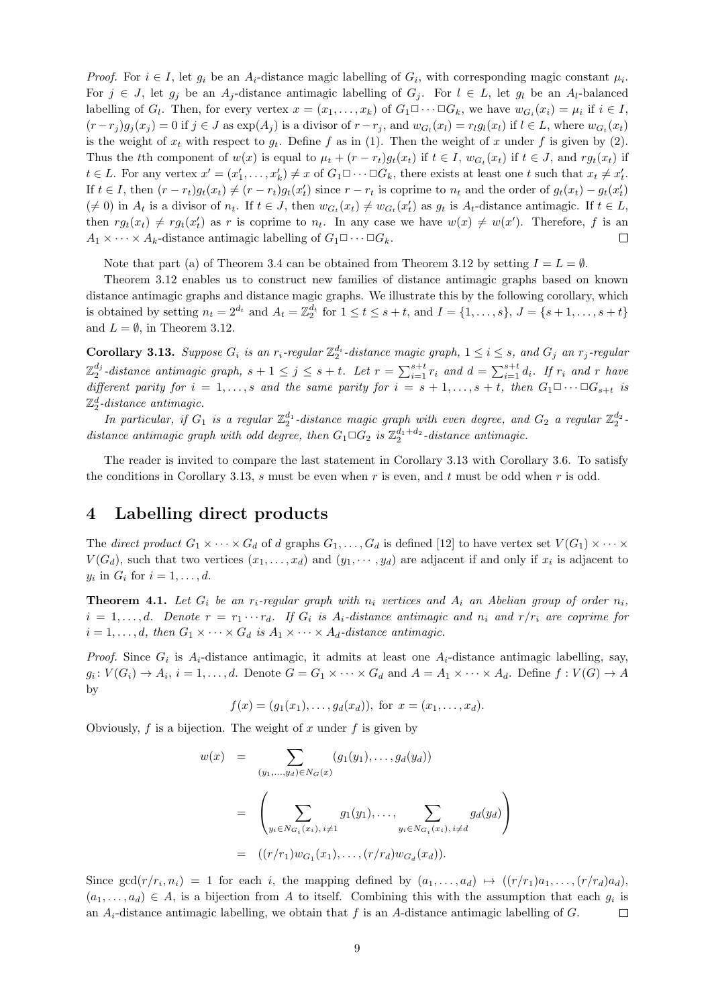*Proof.* For  $i \in I$ , let  $g_i$  be an  $A_i$ -distance magic labelling of  $G_i$ , with corresponding magic constant  $\mu_i$ . For  $j \in J$ , let  $g_j$  be an  $A_j$ -distance antimagic labelling of  $G_j$ . For  $l \in L$ , let  $g_l$  be an  $A_l$ -balanced labelling of  $G_l$ . Then, for every vertex  $x = (x_1, \ldots, x_k)$  of  $G_1 \square \cdots \square G_k$ , we have  $w_{G_i}(x_i) = \mu_i$  if  $i \in I$ ,  $(r-r_j)g_j(x_j) = 0$  if  $j \in J$  as  $\exp(A_j)$  is a divisor of  $r-r_j$ , and  $w_{G_l}(x_l) = r_l g_l(x_l)$  if  $l \in L$ , where  $w_{G_t}(x_l)$ is the weight of  $x_t$  with respect to  $g_t$ . Define f as in (1). Then the weight of x under f is given by (2). Thus the tth component of  $w(x)$  is equal to  $\mu_t + (r - r_t)g_t(x_t)$  if  $t \in I$ ,  $w_{G_t}(x_t)$  if  $t \in J$ , and  $r g_t(x_t)$  if  $t \in L$ . For any vertex  $x' = (x'_1, \ldots, x'_k) \neq x$  of  $G_1 \square \cdots \square G_k$ , there exists at least one t such that  $x_t \neq x'_t$ . If  $t \in I$ , then  $(r - r_t)g_t(x_t) \neq (r - r_t)g_t(x_t')$  since  $r - r_t$  is coprime to  $n_t$  and the order of  $g_t(x_t) - g_t(x_t')$  $(\neq 0)$  in  $A_t$  is a divisor of  $n_t$ . If  $t \in J$ , then  $w_{G_t}(x_t) \neq w_{G_t}(x_t')$  as  $g_t$  is  $A_t$ -distance antimagic. If  $t \in L$ , then  $rg_t(x_t) \neq rg_t(x'_t)$  as r is coprime to  $n_t$ . In any case we have  $w(x) \neq w(x')$ . Therefore, f is an  $A_1 \times \cdots \times A_k$ -distance antimagic labelling of  $G_1 \square \cdots \square G_k$ .  $\Box$ 

Note that part (a) of Theorem 3.4 can be obtained from Theorem 3.12 by setting  $I = L = \emptyset$ .

Theorem 3.12 enables us to construct new families of distance antimagic graphs based on known distance antimagic graphs and distance magic graphs. We illustrate this by the following corollary, which is obtained by setting  $n_t = 2^{d_t}$  and  $A_t = \mathbb{Z}_2^{d_t}$  for  $1 \le t \le s+t$ , and  $I = \{1, \ldots, s\}$ ,  $J = \{s+1, \ldots, s+t\}$ and  $L = \emptyset$ , in Theorem 3.12.

**Corollary 3.13.** Suppose  $G_i$  is an  $r_i$ -regular  $\mathbb{Z}_2^{d_i}$ -distance magic graph,  $1 \leq i \leq s$ , and  $G_j$  an  $r_j$ -regular  $\mathbb{Z}_2^{d_j}$ -distance antimagic graph,  $s+1 \leq j \leq s+t$ . Let  $r = \sum_{i=1}^{s+t} r_i$  and  $d = \sum_{i=1}^{s+t} d_i$ . If  $r_i$  and r have different parity for  $i = 1, \ldots, s$  and the same parity for  $i = s + 1, \ldots, s + t$ , then  $G_1 \square \cdots \square G_{s+t}$  is  $\mathbb{Z}_2^d$ -distance antimagic.

In particular, if  $G_1$  is a regular  $\mathbb{Z}_2^{d_1}$ -distance magic graph with even degree, and  $G_2$  a regular  $\mathbb{Z}_2^{d_2}$ distance antimagic graph with odd degree, then  $G_1 \square G_2$  is  $\mathbb{Z}_2^{d_1+d_2}$ -distance antimagic.

The reader is invited to compare the last statement in Corollary 3.13 with Corollary 3.6. To satisfy the conditions in Corollary 3.13,  $s$  must be even when  $r$  is even, and  $t$  must be odd when  $r$  is odd.

#### 4 Labelling direct products

The direct product  $G_1 \times \cdots \times G_d$  of d graphs  $G_1, \ldots, G_d$  is defined [12] to have vertex set  $V(G_1) \times \cdots \times G_d$  $V(G_d)$ , such that two vertices  $(x_1, \ldots, x_d)$  and  $(y_1, \cdots, y_d)$  are adjacent if and only if  $x_i$  is adjacent to  $y_i$  in  $G_i$  for  $i = 1, \ldots, d$ .

**Theorem 4.1.** Let  $G_i$  be an  $r_i$ -regular graph with  $n_i$  vertices and  $A_i$  an Abelian group of order  $n_i$ ,  $i = 1, \ldots, d$ . Denote  $r = r_1 \cdots r_d$ . If  $G_i$  is  $A_i$ -distance antimagic and  $n_i$  and  $r/r_i$  are coprime for  $i = 1, \ldots, d$ , then  $G_1 \times \cdots \times G_d$  is  $A_1 \times \cdots \times A_d$ -distance antimagic.

*Proof.* Since  $G_i$  is  $A_i$ -distance antimagic, it admits at least one  $A_i$ -distance antimagic labelling, say,  $g_i\colon V(G_i)\to A_i, i=1,\ldots,d.$  Denote  $G=G_1\times\cdots\times G_d$  and  $A=A_1\times\cdots\times A_d.$  Define  $f:V(G)\to A$ by

 $f(x) = (q_1(x_1), \ldots, q_d(x_d))$ , for  $x = (x_1, \ldots, x_d)$ .

Obviously, f is a bijection. The weight of x under f is given by

$$
w(x) = \sum_{(y_1,\ldots,y_d)\in N_G(x)} (g_1(y_1),\ldots,g_d(y_d))
$$
  
= 
$$
\left(\sum_{y_i\in N_{G_i}(x_i), i\neq 1} g_1(y_1),\ldots,\sum_{y_i\in N_{G_i}(x_i), i\neq d} g_d(y_d)\right)
$$
  
= 
$$
((r/r_1)w_{G_1}(x_1),\ldots,(r/r_d)w_{G_d}(x_d)).
$$

Since  $gcd(r/r_i, n_i) = 1$  for each i, the mapping defined by  $(a_1, \ldots, a_d) \mapsto ((r/r_1)a_1, \ldots, (r/r_d)a_d)$ ,  $(a_1, \ldots, a_d) \in A$ , is a bijection from A to itself. Combining this with the assumption that each  $g_i$  is an  $A_i$ -distance antimagic labelling, we obtain that f is an A-distance antimagic labelling of G.  $\Box$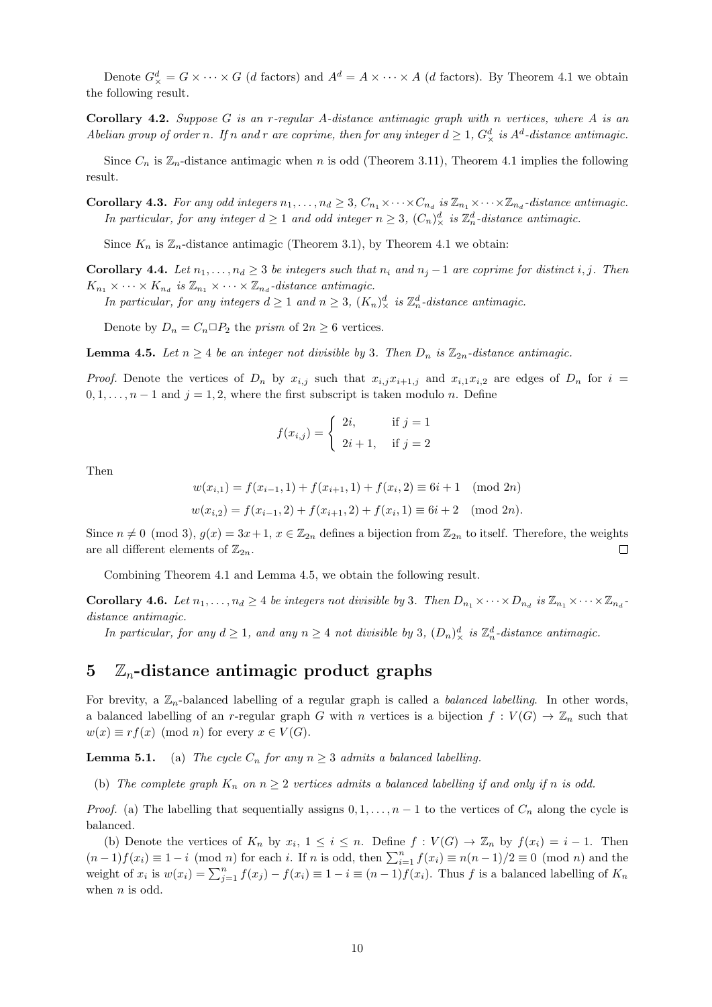Denote  $G_{\times}^d = G \times \cdots \times G$  (d factors) and  $A^d = A \times \cdots \times A$  (d factors). By Theorem 4.1 we obtain the following result.

**Corollary 4.2.** Suppose G is an r-regular A-distance antimagic graph with n vertices, where A is an Abelian group of order n. If n and r are coprime, then for any integer  $d \geq 1$ ,  $G^d_{\times}$  is  $A^d$ -distance antimagic.

Since  $C_n$  is  $\mathbb{Z}_n$ -distance antimagic when n is odd (Theorem 3.11), Theorem 4.1 implies the following result.

**Corollary 4.3.** For any odd integers  $n_1, \ldots, n_d \geq 3$ ,  $C_{n_1} \times \cdots \times C_{n_d}$  is  $\mathbb{Z}_{n_1} \times \cdots \times \mathbb{Z}_{n_d}$ -distance antimagic. In particular, for any integer  $d \geq 1$  and odd integer  $n \geq 3$ ,  $(C_n)_{\times}^d$  is  $\mathbb{Z}_n^d$ -distance antimagic.

Since  $K_n$  is  $\mathbb{Z}_n$ -distance antimagic (Theorem 3.1), by Theorem 4.1 we obtain:

Corollary 4.4. Let  $n_1, \ldots, n_d \geq 3$  be integers such that  $n_i$  and  $n_j - 1$  are coprime for distinct i, j. Then  $K_{n_1} \times \cdots \times K_{n_d}$  is  $\mathbb{Z}_{n_1} \times \cdots \times \mathbb{Z}_{n_d}$ -distance antimagic.

In particular, for any integers  $d \geq 1$  and  $n \geq 3$ ,  $(K_n)_{\times}^d$  is  $\mathbb{Z}_n^d$ -distance antimagic.

Denote by  $D_n = C_n \square P_2$  the *prism* of  $2n \geq 6$  vertices.

**Lemma 4.5.** Let  $n \geq 4$  be an integer not divisible by 3. Then  $D_n$  is  $\mathbb{Z}_{2n}$ -distance antimagic.

*Proof.* Denote the vertices of  $D_n$  by  $x_{i,j}$  such that  $x_{i,j}x_{i+1,j}$  and  $x_{i,1}x_{i,2}$  are edges of  $D_n$  for  $i =$  $0, 1, \ldots, n-1$  and  $j = 1, 2$ , where the first subscript is taken modulo n. Define

$$
f(x_{i,j}) = \begin{cases} 2i, & \text{if } j = 1 \\ 2i + 1, & \text{if } j = 2 \end{cases}
$$

Then

$$
w(x_{i,1}) = f(x_{i-1}, 1) + f(x_{i+1}, 1) + f(x_i, 2) \equiv 6i + 1 \pmod{2n}
$$
  

$$
w(x_{i,2}) = f(x_{i-1}, 2) + f(x_{i+1}, 2) + f(x_i, 1) \equiv 6i + 2 \pmod{2n}.
$$

Since  $n \neq 0 \pmod{3}$ ,  $g(x) = 3x+1$ ,  $x \in \mathbb{Z}_{2n}$  defines a bijection from  $\mathbb{Z}_{2n}$  to itself. Therefore, the weights are all different elements of  $\mathbb{Z}_{2n}$ . П

Combining Theorem 4.1 and Lemma 4.5, we obtain the following result.

**Corollary 4.6.** Let  $n_1, \ldots, n_d \geq 4$  be integers not divisible by 3. Then  $D_{n_1} \times \cdots \times D_{n_d}$  is  $\mathbb{Z}_{n_1} \times \cdots \times \mathbb{Z}_{n_d}$ . distance antimagic.

In particular, for any  $d \geq 1$ , and any  $n \geq 4$  not divisible by 3,  $(D_n)_{\times}^d$  is  $\mathbb{Z}_n^d$ -distance antimagic.

#### 5  $\mathbb{Z}_n$ -distance antimagic product graphs

For brevity, a  $\mathbb{Z}_n$ -balanced labelling of a regular graph is called a *balanced labelling*. In other words, a balanced labelling of an r-regular graph G with n vertices is a bijection  $f: V(G) \to \mathbb{Z}_n$  such that  $w(x) \equiv rf(x) \pmod{n}$  for every  $x \in V(G)$ .

**Lemma 5.1.** (a) The cycle  $C_n$  for any  $n \geq 3$  admits a balanced labelling.

(b) The complete graph  $K_n$  on  $n \geq 2$  vertices admits a balanced labelling if and only if n is odd.

*Proof.* (a) The labelling that sequentially assigns  $0, 1, \ldots, n-1$  to the vertices of  $C_n$  along the cycle is balanced.

(b) Denote the vertices of  $K_n$  by  $x_i, 1 \leq i \leq n$ . Define  $f: V(G) \to \mathbb{Z}_n$  by  $f(x_i) = i - 1$ . Then  $(n-1)f(x_i) \equiv 1-i \pmod{n}$  for each i. If n is odd, then  $\sum_{i=1}^{n} f(x_i) \equiv n(n-1)/2 \equiv 0 \pmod{n}$  and the weight of  $x_i$  is  $w(x_i) = \sum_{j=1}^n f(x_j) - f(x_i) \equiv 1 - i \equiv (n-1)f(x_i)$ . Thus f is a balanced labelling of  $K_n$ when  $n$  is odd.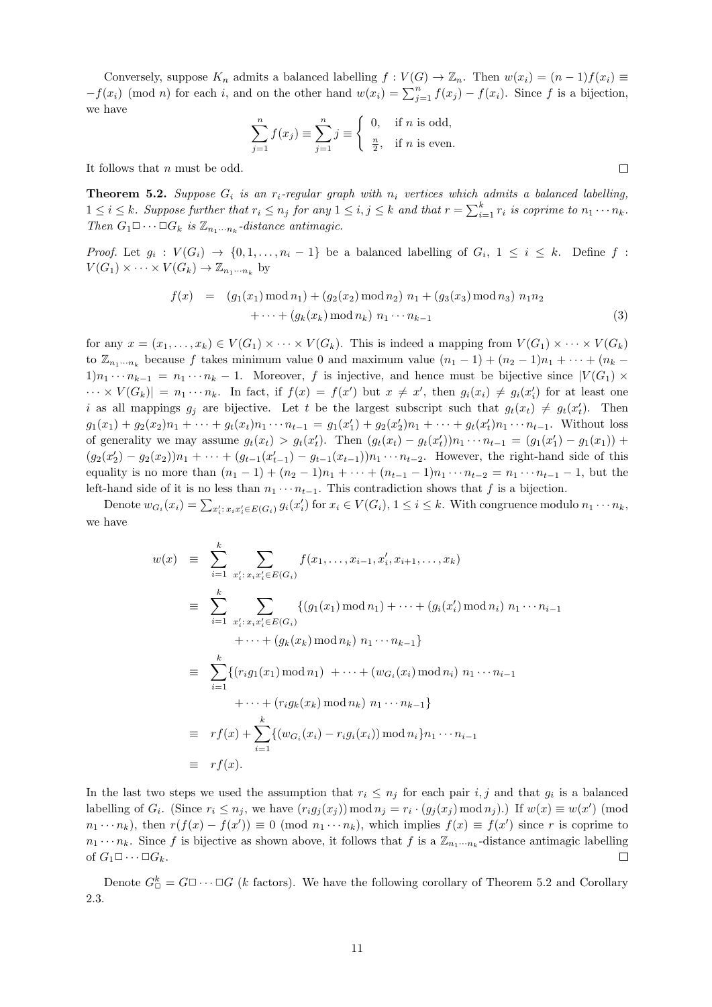Conversely, suppose  $K_n$  admits a balanced labelling  $f: V(G) \to \mathbb{Z}_n$ . Then  $w(x_i) = (n-1)f(x_i) \equiv$  $-f(x_i)$  (mod n) for each i, and on the other hand  $w(x_i) = \sum_{j=1}^n f(x_j) - f(x_i)$ . Since f is a bijection, we have

$$
\sum_{j=1}^{n} f(x_j) \equiv \sum_{j=1}^{n} j \equiv \begin{cases} 0, & \text{if } n \text{ is odd,} \\ \frac{n}{2}, & \text{if } n \text{ is even.} \end{cases}
$$

It follows that  $n$  must be odd.

**Theorem 5.2.** Suppose  $G_i$  is an  $r_i$ -regular graph with  $n_i$  vertices which admits a balanced labelling,  $1 \leq i \leq k$ . Suppose further that  $r_i \leq n_j$  for any  $1 \leq i, j \leq k$  and that  $r = \sum_{i=1}^{k} r_i$  is coprime to  $n_1 \cdots n_k$ . Then  $G_1 \square \cdots \square G_k$  is  $\mathbb{Z}_{n_1 \cdots n_k}$ -distance antimagic.

*Proof.* Let  $g_i: V(G_i) \to \{0, 1, \ldots, n_i-1\}$  be a balanced labelling of  $G_i$ ,  $1 \leq i \leq k$ . Define f:  $V(G_1) \times \cdots \times V(G_k) \to \mathbb{Z}_{n_1 \cdots n_k}$  by

$$
f(x) = (g_1(x_1) \mod n_1) + (g_2(x_2) \mod n_2) n_1 + (g_3(x_3) \mod n_3) n_1 n_2
$$
  
 
$$
+ \cdots + (g_k(x_k) \mod n_k) n_1 \cdots n_{k-1}
$$
 (3)

for any  $x = (x_1, \ldots, x_k) \in V(G_1) \times \cdots \times V(G_k)$ . This is indeed a mapping from  $V(G_1) \times \cdots \times V(G_k)$ to  $\mathbb{Z}_{n_1\cdots n_k}$  because f takes minimum value 0 and maximum value  $(n_1 - 1) + (n_2 - 1)n_1 + \cdots + (n_k - 1)n_k$  $1/n_1 \cdots n_{k-1} = n_1 \cdots n_k - 1$ . Moreover, f is injective, and hence must be bijective since  $|V(G_1) \times$  $\cdots \times V(G_k) = n_1 \cdots n_k$ . In fact, if  $f(x) = f(x')$  but  $x \neq x'$ , then  $g_i(x_i) \neq g_i(x'_i)$  for at least one i as all mappings  $g_j$  are bijective. Let t be the largest subscript such that  $g_t(x_t) \neq g_t(x'_t)$ . Then  $g_1(x_1) + g_2(x_2)n_1 + \cdots + g_t(x_t)n_1 \cdots n_{t-1} = g_1(x'_1) + g_2(x'_2)n_1 + \cdots + g_t(x'_t)n_1 \cdots n_{t-1}$ . Without loss of generality we may assume  $g_t(x_t) > g_t(x'_t)$ . Then  $(g_t(x_t) - g_t(x'_t))n_1 \cdots n_{t-1} = (g_1(x'_1) - g_1(x_1)) +$  $(g_2(x_2') - g_2(x_2))n_1 + \cdots + (g_{t-1}(x_{t-1}') - g_{t-1}(x_{t-1}))n_1 \cdots n_{t-2}$ . However, the right-hand side of this equality is no more than  $(n_1 - 1) + (n_2 - 1)n_1 + \cdots + (n_{t-1} - 1)n_1 \cdots n_{t-2} = n_1 \cdots n_{t-1} - 1$ , but the left-hand side of it is no less than  $n_1 \cdots n_{t-1}$ . This contradiction shows that f is a bijection.

Denote  $w_{G_i}(x_i) = \sum_{x'_i: x_i x'_i \in E(G_i)} g_i(x'_i)$  for  $x_i \in V(G_i)$ ,  $1 \le i \le k$ . With congruence modulo  $n_1 \cdots n_k$ , we have

$$
w(x) = \sum_{i=1}^{k} \sum_{x'_i : x_i x'_i \in E(G_i)} f(x_1, \dots, x_{i-1}, x'_i, x_{i+1}, \dots, x_k)
$$
  
\n
$$
= \sum_{i=1}^{k} \sum_{x'_i : x_i x'_i \in E(G_i)} \{ (g_1(x_1) \mod n_1) + \dots + (g_i(x'_i) \mod n_i) \ n_1 \cdots n_{i-1} \}
$$
  
\n
$$
+ \cdots + (g_k(x_k) \mod n_k) \ n_1 \cdots n_{k-1} \}
$$
  
\n
$$
= \sum_{i=1}^{k} \{ (r_i g_1(x_1) \mod n_1) + \dots + (w_{G_i}(x_i) \mod n_i) \ n_1 \cdots n_{i-1} \}
$$
  
\n
$$
+ \cdots + (r_i g_k(x_k) \mod n_k) \ n_1 \cdots n_{k-1} \}
$$
  
\n
$$
= rf(x) + \sum_{i=1}^{k} \{ (w_{G_i}(x_i) - r_i g_i(x_i)) \mod n_i \} n_1 \cdots n_{i-1}
$$
  
\n
$$
= rf(x).
$$

In the last two steps we used the assumption that  $r_i \leq n_j$  for each pair  $i, j$  and that  $g_i$  is a balanced labelling of  $G_i$ . (Since  $r_i \leq n_j$ , we have  $(r_i g_j(x_j)) \mod n_j = r_i \cdot (g_j(x_j) \mod n_j)$ .) If  $w(x) \equiv w(x') \pmod{n_j}$  $n_1 \cdots n_k$ , then  $r(f(x) - f(x')) \equiv 0 \pmod{n_1 \cdots n_k}$ , which implies  $f(x) \equiv f(x')$  since r is coprime to  $n_1 \cdots n_k$ . Since f is bijective as shown above, it follows that f is a  $\mathbb{Z}_{n_1\cdots n_k}$ -distance antimagic labelling of  $G_1 \square \cdots \square G_k$ .  $\Box$ 

Denote  $G_{\Box}^k = G \Box \cdots \Box G$  (k factors). We have the following corollary of Theorem 5.2 and Corollary 2.3.

 $\Box$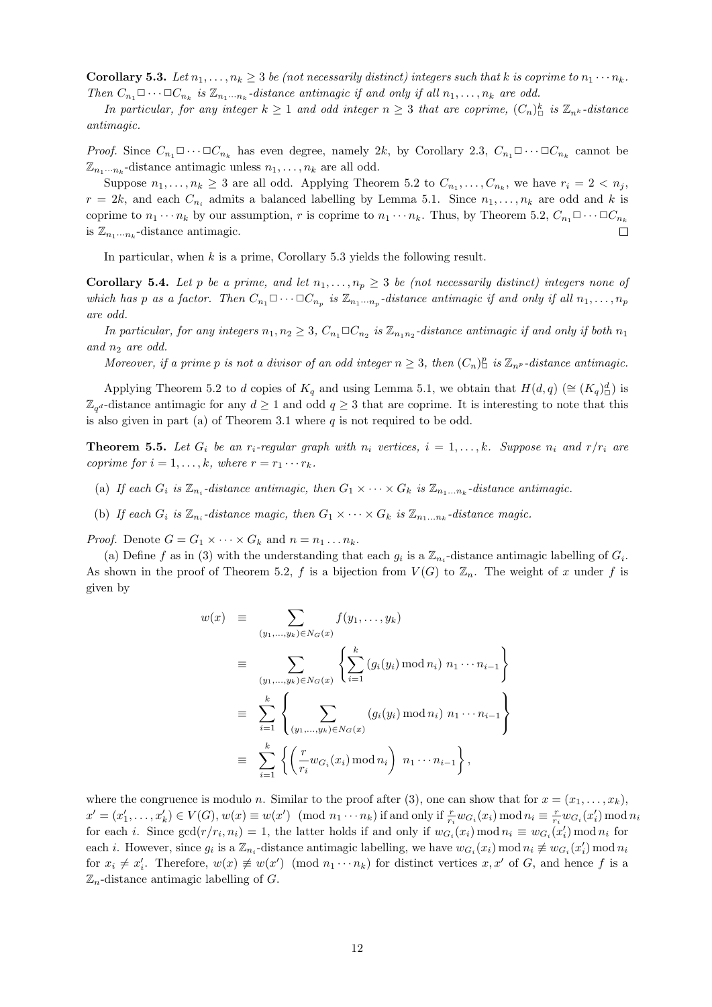**Corollary 5.3.** Let  $n_1, \ldots, n_k \geq 3$  be (not necessarily distinct) integers such that k is coprime to  $n_1 \cdots n_k$ . Then  $C_{n_1} \square \cdots \square C_{n_k}$  is  $\mathbb{Z}_{n_1 \cdots n_k}$ -distance antimagic if and only if all  $n_1, \ldots, n_k$  are odd.

In particular, for any integer  $k \geq 1$  and odd integer  $n \geq 3$  that are coprime,  $(C_n)_{\Box}^k$  is  $\mathbb{Z}_{n^k}$ -distance antimagic.

*Proof.* Since  $C_{n_1}\Box\cdots\Box C_{n_k}$  has even degree, namely 2k, by Corollary 2.3,  $C_{n_1}\Box\cdots\Box C_{n_k}$  cannot be  $\mathbb{Z}_{n_1\cdots n_k}$ -distance antimagic unless  $n_1, \ldots, n_k$  are all odd.

Suppose  $n_1, \ldots, n_k \geq 3$  are all odd. Applying Theorem 5.2 to  $C_{n_1}, \ldots, C_{n_k}$ , we have  $r_i = 2 < n_j$ ,  $r = 2k$ , and each  $C_{n_i}$  admits a balanced labelling by Lemma 5.1. Since  $n_1, \ldots, n_k$  are odd and k is coprime to  $n_1 \cdots n_k$  by our assumption, r is coprime to  $n_1 \cdots n_k$ . Thus, by Theorem 5.2,  $C_{n_1} \square \cdots \square C_{n_k}$ is  $\mathbb{Z}_{n_1\cdots n_k}$ -distance antimagic. П

In particular, when  $k$  is a prime, Corollary 5.3 yields the following result.

Corollary 5.4. Let p be a prime, and let  $n_1, \ldots, n_p \geq 3$  be (not necessarily distinct) integers none of which has p as a factor. Then  $C_{n_1}\Box\cdots\Box C_{n_p}$  is  $\mathbb{Z}_{n_1\cdots n_p}$ -distance antimagic if and only if all  $n_1,\ldots,n_p$ are odd.

In particular, for any integers  $n_1, n_2 \geq 3$ ,  $C_{n_1} \square C_{n_2}$  is  $\mathbb{Z}_{n_1 n_2}$ -distance antimagic if and only if both  $n_1$ and  $n_2$  are odd.

Moreover, if a prime p is not a divisor of an odd integer  $n \geq 3$ , then  $(C_n)_D^p$  is  $\mathbb{Z}_{n^p}$ -distance antimagic.

Applying Theorem 5.2 to d copies of  $K_q$  and using Lemma 5.1, we obtain that  $H(d,q) \ (\cong (K_q)^d)$  is  $\mathbb{Z}_{q^d}$ -distance antimagic for any  $d \geq 1$  and odd  $q \geq 3$  that are coprime. It is interesting to note that this is also given in part (a) of Theorem 3.1 where  $q$  is not required to be odd.

**Theorem 5.5.** Let  $G_i$  be an  $r_i$ -regular graph with  $n_i$  vertices,  $i = 1, \ldots, k$ . Suppose  $n_i$  and  $r/r_i$  are coprime for  $i = 1, \ldots, k$ , where  $r = r_1 \cdots r_k$ .

- (a) If each  $G_i$  is  $\mathbb{Z}_{n_i}$ -distance antimagic, then  $G_1 \times \cdots \times G_k$  is  $\mathbb{Z}_{n_1...n_k}$ -distance antimagic.
- (b) If each  $G_i$  is  $\mathbb{Z}_{n_i}$ -distance magic, then  $G_1 \times \cdots \times G_k$  is  $\mathbb{Z}_{n_1...n_k}$ -distance magic.

*Proof.* Denote  $G = G_1 \times \cdots \times G_k$  and  $n = n_1 \ldots n_k$ .

(a) Define f as in (3) with the understanding that each  $g_i$  is a  $\mathbb{Z}_{n_i}$ -distance antimagic labelling of  $G_i$ . As shown in the proof of Theorem 5.2, f is a bijection from  $V(G)$  to  $\mathbb{Z}_n$ . The weight of x under f is given by

$$
w(x) \equiv \sum_{(y_1, \ldots, y_k) \in N_G(x)} f(y_1, \ldots, y_k)
$$
  
\n
$$
\equiv \sum_{(y_1, \ldots, y_k) \in N_G(x)} \left\{ \sum_{i=1}^k (g_i(y_i) \mod n_i) \ n_1 \cdots n_{i-1} \right\}
$$
  
\n
$$
\equiv \sum_{i=1}^k \left\{ \sum_{(y_1, \ldots, y_k) \in N_G(x)} (g_i(y_i) \mod n_i) \ n_1 \cdots n_{i-1} \right\}
$$
  
\n
$$
\equiv \sum_{i=1}^k \left\{ \left( \sum_{r_i}^r w_{G_i}(x_i) \mod n_i \right) \ n_1 \cdots n_{i-1} \right\},
$$

where the congruence is modulo n. Similar to the proof after (3), one can show that for  $x = (x_1, \ldots, x_k)$ ,  $x' = (x'_1, \ldots, x'_k) \in V(G), w(x) \equiv w(x') \pmod{n_1 \cdots n_k}$  if and only if  $\frac{r}{r_i} w_{G_i}(x_i) \bmod n_i \equiv \frac{r}{r_i} w_{G_i}(x'_i) \bmod n_i$ for each *i*. Since  $gcd(r/r_i, n_i) = 1$ , the latter holds if and only if  $w_{G_i}(x_i) \mod n_i \equiv w_{G_i}(x_i') \mod n_i$  for each *i*. However, since  $g_i$  is a  $\mathbb{Z}_{n_i}$ -distance antimagic labelling, we have  $w_{G_i}(x_i) \mod n_i \not\equiv w_{G_i}(x_i') \mod n_i$ for  $x_i \neq x'_i$ . Therefore,  $w(x) \neq w(x') \pmod{n_1 \cdots n_k}$  for distinct vertices  $x, x'$  of G, and hence f is a  $\mathbb{Z}_n$ -distance antimagic labelling of G.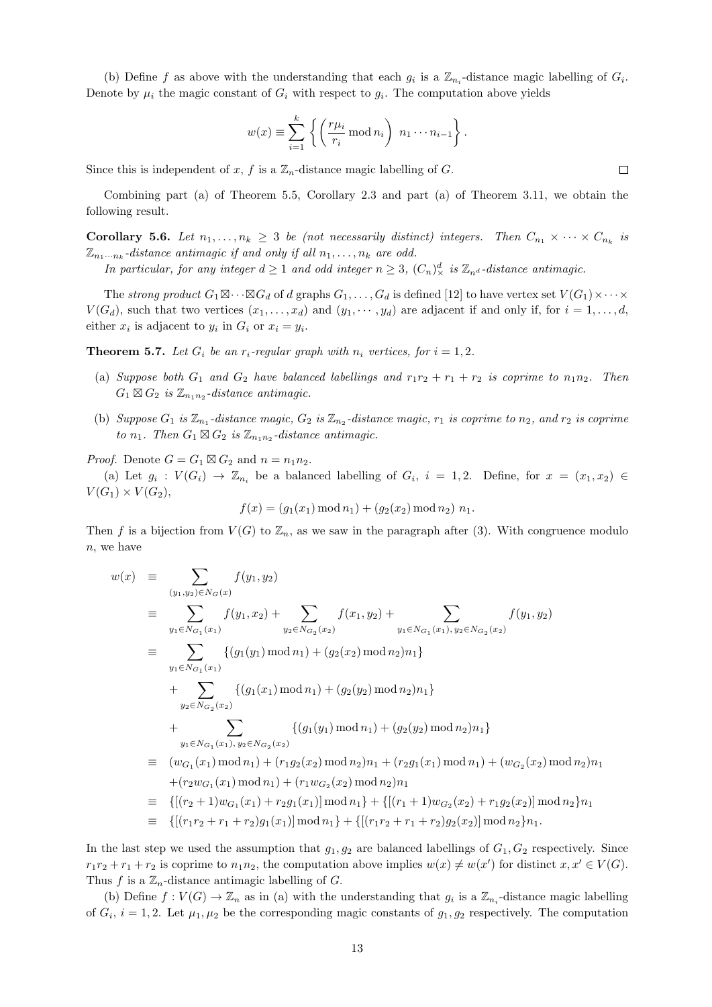(b) Define f as above with the understanding that each  $g_i$  is a  $\mathbb{Z}_{n_i}$ -distance magic labelling of  $G_i$ . Denote by  $\mu_i$  the magic constant of  $G_i$  with respect to  $g_i$ . The computation above yields

$$
w(x) \equiv \sum_{i=1}^k \left\{ \left( \frac{r\mu_i}{r_i} \mod n_i \right) \; n_1 \cdots n_{i-1} \right\}.
$$

Since this is independent of x, f is a  $\mathbb{Z}_n$ -distance magic labelling of G.

Combining part (a) of Theorem 5.5, Corollary 2.3 and part (a) of Theorem 3.11, we obtain the following result.

**Corollary 5.6.** Let  $n_1, \ldots, n_k \geq 3$  be (not necessarily distinct) integers. Then  $C_{n_1} \times \cdots \times C_{n_k}$  is  $\mathbb{Z}_{n_1\cdots n_k}$ -distance antimagic if and only if all  $n_1,\ldots,n_k$  are odd.

In particular, for any integer  $d \geq 1$  and odd integer  $n \geq 3$ ,  $(C_n)_{\times}^d$  is  $\mathbb{Z}_{n^d}$ -distance antimagic.

The strong product  $G_1 \boxtimes \cdots \boxtimes G_d$  of d graphs  $G_1, \ldots, G_d$  is defined [12] to have vertex set  $V(G_1) \times \cdots \times$  $V(G_d)$ , such that two vertices  $(x_1, \ldots, x_d)$  and  $(y_1, \cdots, y_d)$  are adjacent if and only if, for  $i = 1, \ldots, d$ , either  $x_i$  is adjacent to  $y_i$  in  $G_i$  or  $x_i = y_i$ .

**Theorem 5.7.** Let  $G_i$  be an  $r_i$ -regular graph with  $n_i$  vertices, for  $i = 1, 2$ .

- (a) Suppose both  $G_1$  and  $G_2$  have balanced labellings and  $r_1r_2 + r_1 + r_2$  is coprime to  $n_1n_2$ . Then  $G_1 \boxtimes G_2$  is  $\mathbb{Z}_{n_1 n_2}$ -distance antimagic.
- (b) Suppose  $G_1$  is  $\mathbb{Z}_{n_1}$ -distance magic,  $G_2$  is  $\mathbb{Z}_{n_2}$ -distance magic,  $r_1$  is coprime to  $n_2$ , and  $r_2$  is coprime to  $n_1$ . Then  $G_1 \boxtimes G_2$  is  $\mathbb{Z}_{n_1 n_2}$ -distance antimagic.

*Proof.* Denote  $G = G_1 \boxtimes G_2$  and  $n = n_1 n_2$ .

(a) Let  $g_i: V(G_i) \to \mathbb{Z}_{n_i}$  be a balanced labelling of  $G_i$ ,  $i = 1, 2$ . Define, for  $x = (x_1, x_2) \in$  $V(G_1) \times V(G_2),$ 

$$
f(x) = (g_1(x_1) \bmod n_1) + (g_2(x_2) \bmod n_2) n_1.
$$

Then f is a bijection from  $V(G)$  to  $\mathbb{Z}_n$ , as we saw in the paragraph after (3). With congruence modulo n, we have

$$
w(x) = \sum_{(y_1, y_2) \in N_G(x)} f(y_1, y_2)
$$
  
\n
$$
= \sum_{y_1 \in N_{G_1}(x_1)} f(y_1, x_2) + \sum_{y_2 \in N_{G_2}(x_2)} f(x_1, y_2) + \sum_{y_1 \in N_{G_1}(x_1), y_2 \in N_{G_2}(x_2)} f(y_1, y_2)
$$
  
\n
$$
= \sum_{y_1 \in N_{G_1}(x_1)} \{(g_1(y_1) \mod n_1) + (g_2(x_2) \mod n_2)n_1\}
$$
  
\n
$$
+ \sum_{y_2 \in N_{G_2}(x_2)} \{(g_1(x_1) \mod n_1) + (g_2(y_2) \mod n_2)n_1\}
$$
  
\n
$$
+ \sum_{y_1 \in N_{G_1}(x_1), y_2 \in N_{G_2}(x_2)} \{(g_1(y_1) \mod n_1) + (g_2(y_2) \mod n_2)n_1\}
$$
  
\n
$$
= (w_{G_1}(x_1) \mod n_1) + (r_1g_2(x_2) \mod n_2)n_1 + (r_2g_1(x_1) \mod n_1) + (w_{G_2}(x_2) \mod n_2)n_1
$$
  
\n
$$
= \{[(r_2 + 1)w_{G_1}(x_1) + r_2g_1(x_1)] \mod n_1\} + \{[(r_1 + 1)w_{G_2}(x_2) + r_1g_2(x_2)] \mod n_2\}n_1
$$
  
\n
$$
= \{[(r_1r_2 + r_1 + r_2)g_1(x_1)] \mod n_1\} + \{[(r_1r_2 + r_1 + r_2)g_2(x_2)] \mod n_2\}n_1.
$$

In the last step we used the assumption that  $g_1, g_2$  are balanced labellings of  $G_1, G_2$  respectively. Since  $r_1r_2 + r_1 + r_2$  is coprime to  $n_1n_2$ , the computation above implies  $w(x) \neq w(x')$  for distinct  $x, x' \in V(G)$ . Thus f is a  $\mathbb{Z}_n$ -distance antimagic labelling of G.

(b) Define  $f: V(G) \to \mathbb{Z}_n$  as in (a) with the understanding that  $g_i$  is a  $\mathbb{Z}_{n_i}$ -distance magic labelling of  $G_i$ ,  $i = 1, 2$ . Let  $\mu_1, \mu_2$  be the corresponding magic constants of  $g_1, g_2$  respectively. The computation

 $\Box$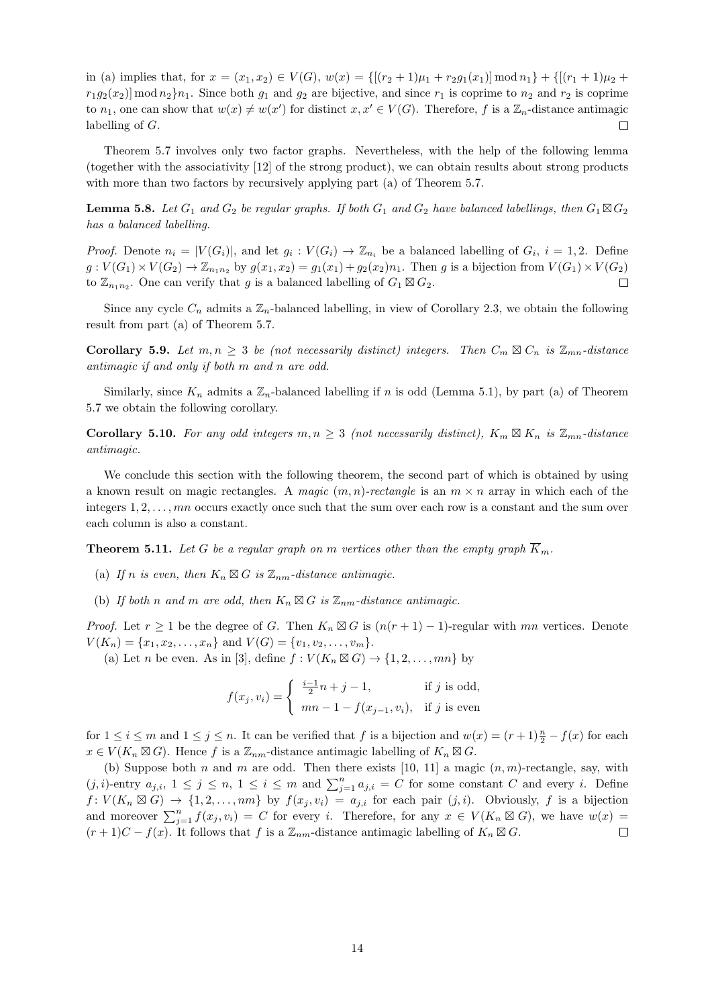in (a) implies that, for  $x = (x_1, x_2) \in V(G)$ ,  $w(x) = \{[(r_2 + 1)\mu_1 + r_2g_1(x_1)] \mod n_1\} + \{[(r_1 + 1)\mu_2 +$  $r_1g_2(x_2)$  mod  $n_2n_1$ . Since both  $g_1$  and  $g_2$  are bijective, and since  $r_1$  is coprime to  $n_2$  and  $r_2$  is coprime to  $n_1$ , one can show that  $w(x) \neq w(x')$  for distinct  $x, x' \in V(G)$ . Therefore, f is a  $\mathbb{Z}_n$ -distance antimagic labelling of G.  $\Box$ 

Theorem 5.7 involves only two factor graphs. Nevertheless, with the help of the following lemma (together with the associativity [12] of the strong product), we can obtain results about strong products with more than two factors by recursively applying part (a) of Theorem 5.7.

**Lemma 5.8.** Let  $G_1$  and  $G_2$  be regular graphs. If both  $G_1$  and  $G_2$  have balanced labellings, then  $G_1 \boxtimes G_2$ has a balanced labelling.

*Proof.* Denote  $n_i = |V(G_i)|$ , and let  $g_i : V(G_i) \to \mathbb{Z}_{n_i}$  be a balanced labelling of  $G_i$ ,  $i = 1, 2$ . Define  $g: V(G_1) \times V(G_2) \to \mathbb{Z}_{n_1 n_2}$  by  $g(x_1, x_2) = g_1(x_1) + g_2(x_2)n_1$ . Then g is a bijection from  $V(G_1) \times V(G_2)$ to  $\mathbb{Z}_{n_1 n_2}$ . One can verify that g is a balanced labelling of  $G_1 \boxtimes G_2$ . П

Since any cycle  $C_n$  admits a  $\mathbb{Z}_n$ -balanced labelling, in view of Corollary 2.3, we obtain the following result from part (a) of Theorem 5.7.

**Corollary 5.9.** Let  $m, n \geq 3$  be (not necessarily distinct) integers. Then  $C_m \boxtimes C_n$  is  $\mathbb{Z}_{mn}$ -distance antimagic if and only if both m and n are odd.

Similarly, since  $K_n$  admits a  $\mathbb{Z}_n$ -balanced labelling if n is odd (Lemma 5.1), by part (a) of Theorem 5.7 we obtain the following corollary.

**Corollary 5.10.** For any odd integers  $m, n \geq 3$  (not necessarily distinct),  $K_m \boxtimes K_n$  is  $\mathbb{Z}_{mn}$ -distance antimagic.

We conclude this section with the following theorem, the second part of which is obtained by using a known result on magic rectangles. A magic  $(m, n)$ -rectangle is an  $m \times n$  array in which each of the integers  $1, 2, \ldots, mn$  occurs exactly once such that the sum over each row is a constant and the sum over each column is also a constant.

**Theorem 5.11.** Let G be a regular graph on m vertices other than the empty graph  $\overline{K}_m$ .

- (a) If n is even, then  $K_n \boxtimes G$  is  $\mathbb{Z}_{nm}$ -distance antimagic.
- (b) If both n and m are odd, then  $K_n \boxtimes G$  is  $\mathbb{Z}_{nm}$ -distance antimagic.

*Proof.* Let  $r \geq 1$  be the degree of G. Then  $K_n \boxtimes G$  is  $(n(r + 1) - 1)$ -regular with mn vertices. Denote  $V(K_n) = \{x_1, x_2, \ldots, x_n\}$  and  $V(G) = \{v_1, v_2, \ldots, v_m\}.$ 

(a) Let *n* be even. As in [3], define  $f: V(K_n \boxtimes G) \rightarrow \{1, 2, ..., mn\}$  by

$$
f(x_j, v_i) = \begin{cases} \frac{i-1}{2}n + j - 1, & \text{if } j \text{ is odd,} \\ mn - 1 - f(x_{j-1}, v_i), & \text{if } j \text{ is even} \end{cases}
$$

for  $1 \leq i \leq m$  and  $1 \leq j \leq n$ . It can be verified that f is a bijection and  $w(x) = (r+1)\frac{n}{2} - f(x)$  for each  $x \in V(K_n \boxtimes G)$ . Hence f is a  $\mathbb{Z}_{nm}$ -distance antimagic labelling of  $K_n \boxtimes G$ .

(b) Suppose both n and m are odd. Then there exists [10, 11] a magic  $(n, m)$ -rectangle, say, with  $(j, i)$ -entry  $a_{j,i}$ ,  $1 \leq j \leq n$ ,  $1 \leq i \leq m$  and  $\sum_{j=1}^{n} a_{j,i} = C$  for some constant C and every i. Define  $f: V(K_n \boxtimes G) \to \{1, 2, \ldots, nm\}$  by  $f(x_j, v_i) = a_{j,i}$  for each pair  $(j,i)$ . Obviously, f is a bijection and moreover  $\sum_{j=1}^{n} f(x_j, v_i) = C$  for every i. Therefore, for any  $x \in V(K_n \boxtimes G)$ , we have  $w(x) =$  $(r+1)C - f(x)$ . It follows that f is a  $\mathbb{Z}_{nm}$ -distance antimagic labelling of  $K_n \boxtimes G$ .  $\Box$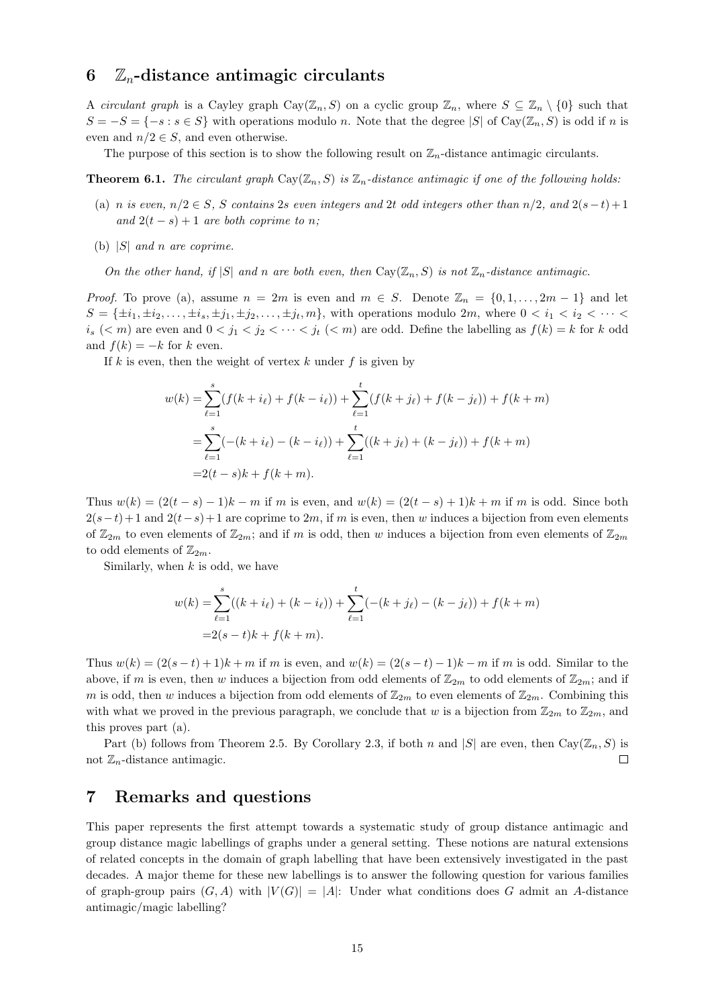### 6  $\mathbb{Z}_n$ -distance antimagic circulants

A circulant graph is a Cayley graph Cay( $\mathbb{Z}_n$ , S) on a cyclic group  $\mathbb{Z}_n$ , where  $S \subseteq \mathbb{Z}_n \setminus \{0\}$  such that  $S = -S = \{-s : s \in S\}$  with operations modulo n. Note that the degree |S| of Cay( $\mathbb{Z}_n$ , S) is odd if n is even and  $n/2 \in S$ , and even otherwise.

The purpose of this section is to show the following result on  $\mathbb{Z}_n$ -distance antimagic circulants.

**Theorem 6.1.** The circulant graph  $Cay(\mathbb{Z}_n, S)$  is  $\mathbb{Z}_n$ -distance antimagic if one of the following holds:

- (a) n is even,  $n/2 \in S$ , S contains 2s even integers and 2t odd integers other than  $n/2$ , and  $2(s-t)+1$ and  $2(t - s) + 1$  are both coprime to n;
- (b)  $|S|$  and n are coprime.

On the other hand, if  $|S|$  and n are both even, then  $Cay(\mathbb{Z}_n, S)$  is not  $\mathbb{Z}_n$ -distance antimagic.

*Proof.* To prove (a), assume  $n = 2m$  is even and  $m \in S$ . Denote  $\mathbb{Z}_n = \{0, 1, \ldots, 2m - 1\}$  and let  $S = \{\pm i_1, \pm i_2, \ldots, \pm i_s, \pm j_1, \pm j_2, \ldots, \pm j_t, m\}$ , with operations modulo  $2m$ , where  $0 < i_1 < i_2 < \cdots < i_t$  $i_s$  (< m) are even and  $0 < j_1 < j_2 < \cdots < j_t$  (< m) are odd. Define the labelling as  $f(k) = k$  for k odd and  $f(k) = -k$  for k even.

If k is even, then the weight of vertex k under f is given by

$$
w(k) = \sum_{\ell=1}^{s} (f(k + i_{\ell}) + f(k - i_{\ell})) + \sum_{\ell=1}^{t} (f(k + j_{\ell}) + f(k - j_{\ell})) + f(k + m)
$$
  
= 
$$
\sum_{\ell=1}^{s} (-(k + i_{\ell}) - (k - i_{\ell})) + \sum_{\ell=1}^{t} ((k + j_{\ell}) + (k - j_{\ell})) + f(k + m)
$$
  
= 
$$
2(t - s)k + f(k + m).
$$

Thus  $w(k) = (2(t - s) - 1)k - m$  if m is even, and  $w(k) = (2(t - s) + 1)k + m$  if m is odd. Since both  $2(s-t)+1$  and  $2(t-s)+1$  are coprime to 2m, if m is even, then w induces a bijection from even elements of  $\mathbb{Z}_{2m}$  to even elements of  $\mathbb{Z}_{2m}$ ; and if m is odd, then w induces a bijection from even elements of  $\mathbb{Z}_{2m}$ to odd elements of  $\mathbb{Z}_{2m}$ .

Similarly, when  $k$  is odd, we have

$$
w(k) = \sum_{\ell=1}^{s} ((k + i_{\ell}) + (k - i_{\ell})) + \sum_{\ell=1}^{t} (-(k + j_{\ell}) - (k - j_{\ell})) + f(k + m)
$$
  
= 2(s - t)k + f(k + m).

Thus  $w(k) = (2(s - t) + 1)k + m$  if m is even, and  $w(k) = (2(s - t) - 1)k - m$  if m is odd. Similar to the above, if m is even, then w induces a bijection from odd elements of  $\mathbb{Z}_{2m}$  to odd elements of  $\mathbb{Z}_{2m}$ ; and if m is odd, then w induces a bijection from odd elements of  $\mathbb{Z}_{2m}$  to even elements of  $\mathbb{Z}_{2m}$ . Combining this with what we proved in the previous paragraph, we conclude that w is a bijection from  $\mathbb{Z}_{2m}$  to  $\mathbb{Z}_{2m}$ , and this proves part (a).

Part (b) follows from Theorem 2.5. By Corollary 2.3, if both n and  $|S|$  are even, then Cay( $\mathbb{Z}_n$ , S) is not  $\mathbb{Z}_n$ -distance antimagic.  $\Box$ 

# 7 Remarks and questions

This paper represents the first attempt towards a systematic study of group distance antimagic and group distance magic labellings of graphs under a general setting. These notions are natural extensions of related concepts in the domain of graph labelling that have been extensively investigated in the past decades. A major theme for these new labellings is to answer the following question for various families of graph-group pairs  $(G, A)$  with  $|V(G)| = |A|$ : Under what conditions does G admit an A-distance antimagic/magic labelling?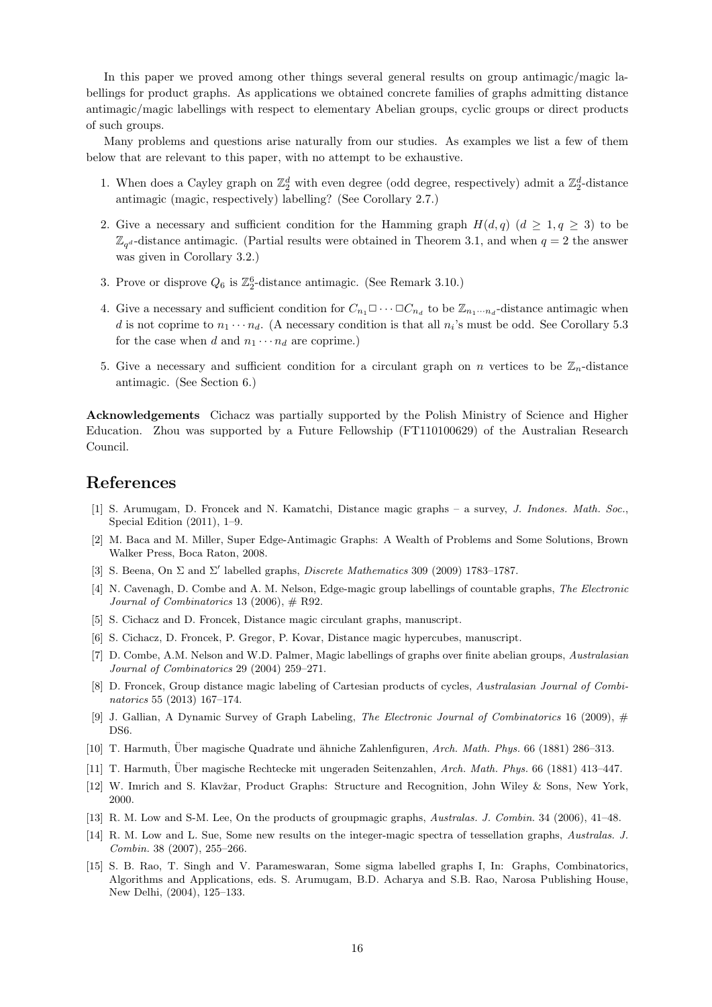In this paper we proved among other things several general results on group antimagic/magic labellings for product graphs. As applications we obtained concrete families of graphs admitting distance antimagic/magic labellings with respect to elementary Abelian groups, cyclic groups or direct products of such groups.

Many problems and questions arise naturally from our studies. As examples we list a few of them below that are relevant to this paper, with no attempt to be exhaustive.

- 1. When does a Cayley graph on  $\mathbb{Z}_2^d$  with even degree (odd degree, respectively) admit a  $\mathbb{Z}_2^d$ -distance antimagic (magic, respectively) labelling? (See Corollary 2.7.)
- 2. Give a necessary and sufficient condition for the Hamming graph  $H(d, q)$   $(d \geq 1, q \geq 3)$  to be  $\mathbb{Z}_{q^d}$ -distance antimagic. (Partial results were obtained in Theorem 3.1, and when  $q=2$  the answer was given in Corollary 3.2.)
- 3. Prove or disprove  $Q_6$  is  $\mathbb{Z}_2^6$ -distance antimagic. (See Remark 3.10.)
- 4. Give a necessary and sufficient condition for  $C_{n_1}\Box\cdots\Box C_{n_d}$  to be  $\mathbb{Z}_{n_1\cdots n_d}$ -distance antimagic when d is not coprime to  $n_1 \cdots n_d$ . (A necessary condition is that all  $n_i$ 's must be odd. See Corollary 5.3 for the case when d and  $n_1 \cdots n_d$  are coprime.)
- 5. Give a necessary and sufficient condition for a circulant graph on n vertices to be  $\mathbb{Z}_n$ -distance antimagic. (See Section 6.)

Acknowledgements Cichacz was partially supported by the Polish Ministry of Science and Higher Education. Zhou was supported by a Future Fellowship (FT110100629) of the Australian Research Council.

### References

- [1] S. Arumugam, D. Froncek and N. Kamatchi, Distance magic graphs a survey, J. Indones. Math. Soc., Special Edition (2011), 1–9.
- [2] M. Baca and M. Miller, Super Edge-Antimagic Graphs: A Wealth of Problems and Some Solutions, Brown Walker Press, Boca Raton, 2008.
- [3] S. Beena, On  $\Sigma$  and  $\Sigma'$  labelled graphs, *Discrete Mathematics* 309 (2009) 1783–1787.
- [4] N. Cavenagh, D. Combe and A. M. Nelson, Edge-magic group labellings of countable graphs, The Electronic Journal of Combinatorics 13 (2006),  $\#$  R92.
- [5] S. Cichacz and D. Froncek, Distance magic circulant graphs, manuscript.
- [6] S. Cichacz, D. Froncek, P. Gregor, P. Kovar, Distance magic hypercubes, manuscript.
- [7] D. Combe, A.M. Nelson and W.D. Palmer, Magic labellings of graphs over finite abelian groups, Australasian Journal of Combinatorics 29 (2004) 259–271.
- [8] D. Froncek, Group distance magic labeling of Cartesian products of cycles, Australasian Journal of Combinatorics 55 (2013) 167–174.
- [9] J. Gallian, A Dynamic Survey of Graph Labeling, The Electronic Journal of Combinatorics 16 (2009), # DS<sub>6</sub>.
- [10] T. Harmuth, Über magische Quadrate und ähniche Zahlenfiguren, Arch. Math. Phys. 66 (1881) 286-313.
- [11] T. Harmuth, Über magische Rechtecke mit ungeraden Seitenzahlen, Arch. Math. Phys. 66 (1881) 413–447.
- [12] W. Imrich and S. Klavžar, Product Graphs: Structure and Recognition, John Wiley & Sons, New York, 2000.
- [13] R. M. Low and S-M. Lee, On the products of groupmagic graphs, Australas. J. Combin. 34 (2006), 41–48.
- [14] R. M. Low and L. Sue, Some new results on the integer-magic spectra of tessellation graphs, Australas. J. Combin. 38 (2007), 255–266.
- [15] S. B. Rao, T. Singh and V. Parameswaran, Some sigma labelled graphs I, In: Graphs, Combinatorics, Algorithms and Applications, eds. S. Arumugam, B.D. Acharya and S.B. Rao, Narosa Publishing House, New Delhi, (2004), 125–133.